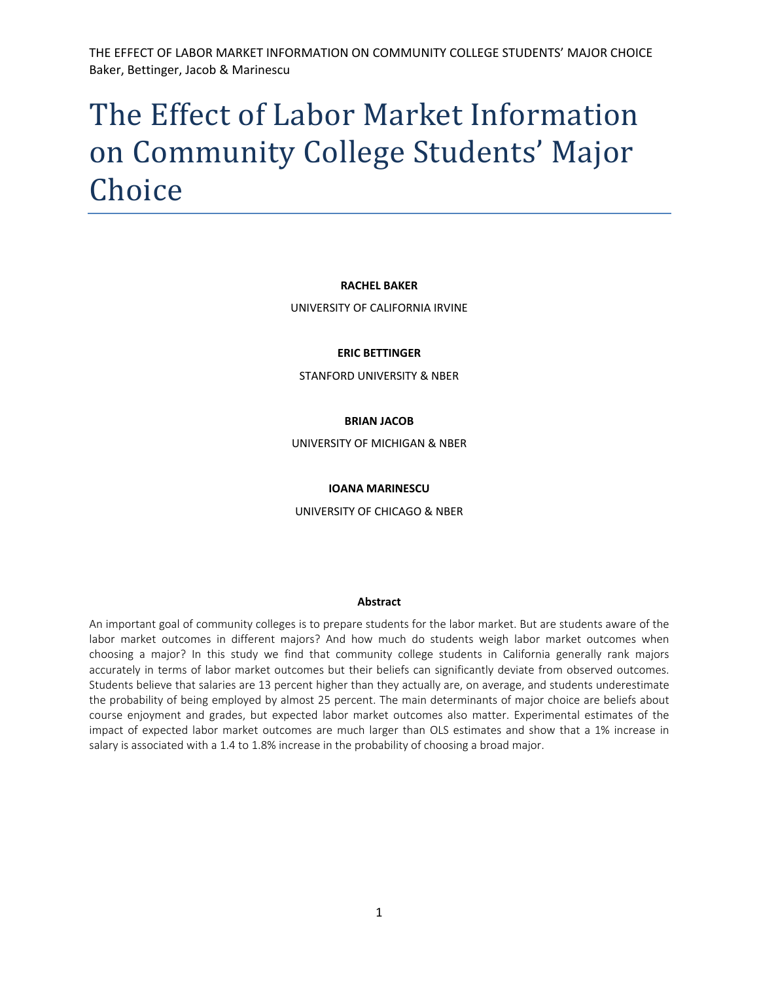# The Effect of Labor Market Information on Community College Students' Major Choice

#### **RACHEL BAKER**

UNIVERSITY OF CALIFORNIA IRVINE

#### **ERIC BETTINGER**

STANFORD UNIVERSITY & NBER

#### **BRIAN JACOB**

UNIVERSITY OF MICHIGAN & NBER

#### **IOANA MARINESCU**

UNIVERSITY OF CHICAGO & NBER

#### **Abstract**

An important goal of community colleges is to prepare students for the labor market. But are students aware of the labor market outcomes in different majors? And how much do students weigh labor market outcomes when choosing a major? In this study we find that community college students in California generally rank majors accurately in terms of labor market outcomes but their beliefs can significantly deviate from observed outcomes. Students believe that salaries are 13 percent higher than they actually are, on average, and students underestimate the probability of being employed by almost 25 percent. The main determinants of major choice are beliefs about course enjoyment and grades, but expected labor market outcomes also matter. Experimental estimates of the impact of expected labor market outcomes are much larger than OLS estimates and show that a 1% increase in salary is associated with a 1.4 to 1.8% increase in the probability of choosing a broad major.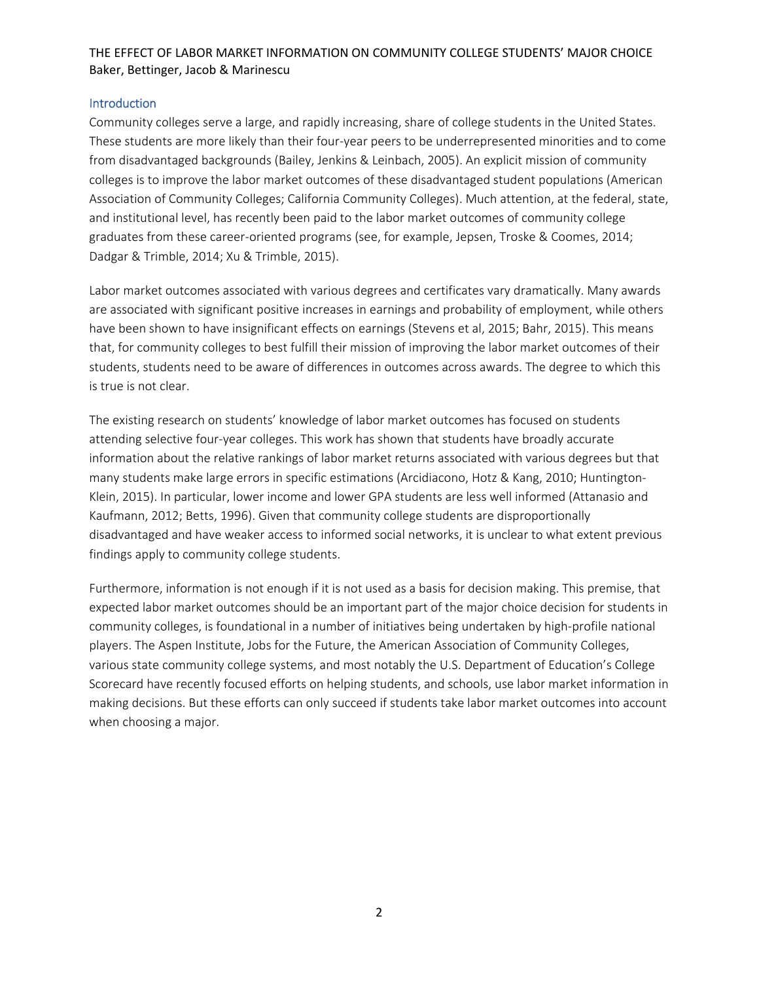#### **Introduction**

Community colleges serve a large, and rapidly increasing, share of college students in the United States. These students are more likely than their four‐year peers to be underrepresented minorities and to come from disadvantaged backgrounds (Bailey, Jenkins & Leinbach, 2005). An explicit mission of community colleges is to improve the labor market outcomes of these disadvantaged student populations (American Association of Community Colleges; California Community Colleges). Much attention, at the federal, state, and institutional level, has recently been paid to the labor market outcomes of community college graduates from these career‐oriented programs (see, for example, Jepsen, Troske & Coomes, 2014; Dadgar & Trimble, 2014; Xu & Trimble, 2015).

Labor market outcomes associated with various degrees and certificates vary dramatically. Many awards are associated with significant positive increases in earnings and probability of employment, while others have been shown to have insignificant effects on earnings (Stevens et al, 2015; Bahr, 2015). This means that, for community colleges to best fulfill their mission of improving the labor market outcomes of their students, students need to be aware of differences in outcomes across awards. The degree to which this is true is not clear.

The existing research on students' knowledge of labor market outcomes has focused on students attending selective four‐year colleges. This work has shown that students have broadly accurate information about the relative rankings of labor market returns associated with various degrees but that many students make large errors in specific estimations (Arcidiacono, Hotz & Kang, 2010; Huntington‐ Klein, 2015). In particular, lower income and lower GPA students are less well informed (Attanasio and Kaufmann, 2012; Betts, 1996). Given that community college students are disproportionally disadvantaged and have weaker access to informed social networks, it is unclear to what extent previous findings apply to community college students.

Furthermore, information is not enough if it is not used as a basis for decision making. This premise, that expected labor market outcomes should be an important part of the major choice decision for students in community colleges, is foundational in a number of initiatives being undertaken by high‐profile national players. The Aspen Institute, Jobs for the Future, the American Association of Community Colleges, various state community college systems, and most notably the U.S. Department of Education's College Scorecard have recently focused efforts on helping students, and schools, use labor market information in making decisions. But these efforts can only succeed if students take labor market outcomes into account when choosing a major.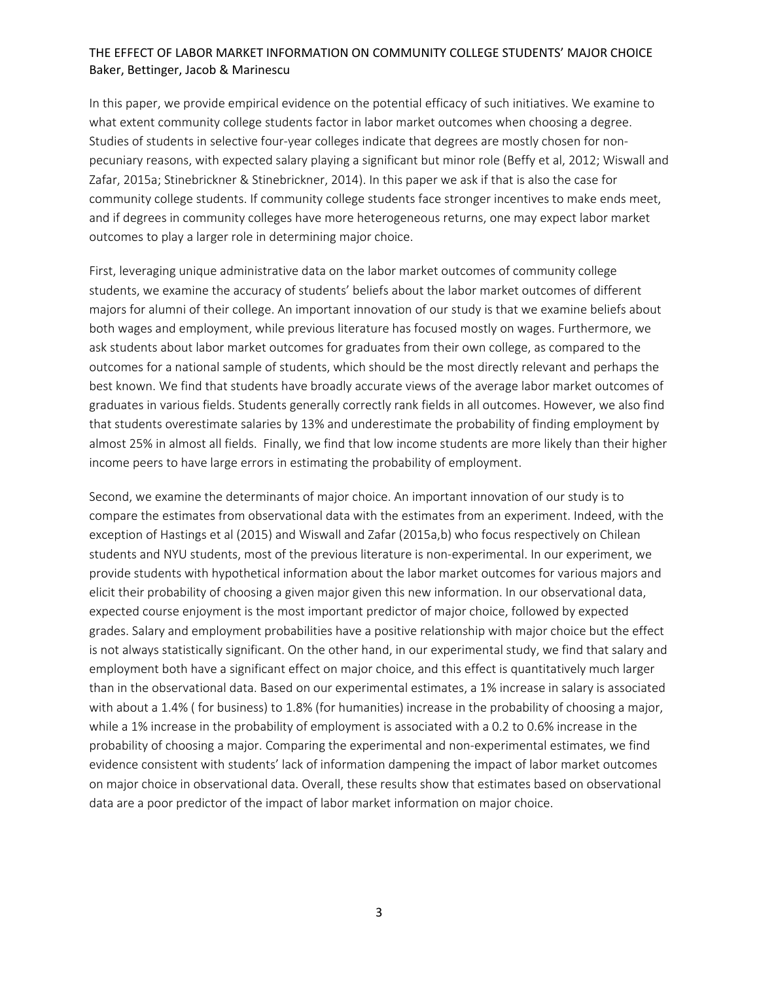In this paper, we provide empirical evidence on the potential efficacy of such initiatives. We examine to what extent community college students factor in labor market outcomes when choosing a degree. Studies of students in selective four-year colleges indicate that degrees are mostly chosen for nonpecuniary reasons, with expected salary playing a significant but minor role (Beffy et al, 2012; Wiswall and Zafar, 2015a; Stinebrickner & Stinebrickner, 2014). In this paper we ask if that is also the case for community college students. If community college students face stronger incentives to make ends meet, and if degrees in community colleges have more heterogeneous returns, one may expect labor market outcomes to play a larger role in determining major choice.

First, leveraging unique administrative data on the labor market outcomes of community college students, we examine the accuracy of students' beliefs about the labor market outcomes of different majors for alumni of their college. An important innovation of our study is that we examine beliefs about both wages and employment, while previous literature has focused mostly on wages. Furthermore, we ask students about labor market outcomes for graduates from their own college, as compared to the outcomes for a national sample of students, which should be the most directly relevant and perhaps the best known. We find that students have broadly accurate views of the average labor market outcomes of graduates in various fields. Students generally correctly rank fields in all outcomes. However, we also find that students overestimate salaries by 13% and underestimate the probability of finding employment by almost 25% in almost all fields. Finally, we find that low income students are more likely than their higher income peers to have large errors in estimating the probability of employment.

Second, we examine the determinants of major choice. An important innovation of our study is to compare the estimates from observational data with the estimates from an experiment. Indeed, with the exception of Hastings et al (2015) and Wiswall and Zafar (2015a,b) who focus respectively on Chilean students and NYU students, most of the previous literature is non‐experimental. In our experiment, we provide students with hypothetical information about the labor market outcomes for various majors and elicit their probability of choosing a given major given this new information. In our observational data, expected course enjoyment is the most important predictor of major choice, followed by expected grades. Salary and employment probabilities have a positive relationship with major choice but the effect is not always statistically significant. On the other hand, in our experimental study, we find that salary and employment both have a significant effect on major choice, and this effect is quantitatively much larger than in the observational data. Based on our experimental estimates, a 1% increase in salary is associated with about a 1.4% ( for business) to 1.8% (for humanities) increase in the probability of choosing a major, while a 1% increase in the probability of employment is associated with a 0.2 to 0.6% increase in the probability of choosing a major. Comparing the experimental and non‐experimental estimates, we find evidence consistent with students' lack of information dampening the impact of labor market outcomes on major choice in observational data. Overall, these results show that estimates based on observational data are a poor predictor of the impact of labor market information on major choice.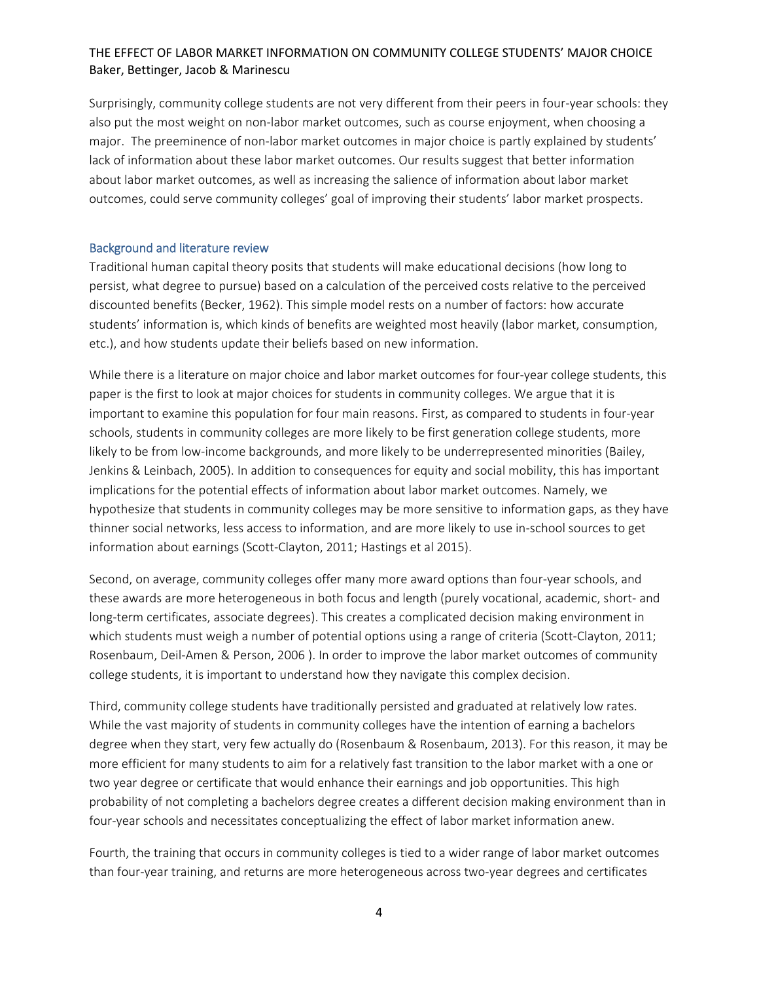Surprisingly, community college students are not very different from their peers in four‐year schools: they also put the most weight on non-labor market outcomes, such as course enjoyment, when choosing a major. The preeminence of non‐labor market outcomes in major choice is partly explained by students' lack of information about these labor market outcomes. Our results suggest that better information about labor market outcomes, as well as increasing the salience of information about labor market outcomes, could serve community colleges' goal of improving their students' labor market prospects.

#### Background and literature review

Traditional human capital theory posits that students will make educational decisions (how long to persist, what degree to pursue) based on a calculation of the perceived costs relative to the perceived discounted benefits (Becker, 1962). This simple model rests on a number of factors: how accurate students' information is, which kinds of benefits are weighted most heavily (labor market, consumption, etc.), and how students update their beliefs based on new information.

While there is a literature on major choice and labor market outcomes for four-year college students, this paper is the first to look at major choices for students in community colleges. We argue that it is important to examine this population for four main reasons. First, as compared to students in four‐year schools, students in community colleges are more likely to be first generation college students, more likely to be from low-income backgrounds, and more likely to be underrepresented minorities (Bailey, Jenkins & Leinbach, 2005). In addition to consequences for equity and social mobility, this has important implications for the potential effects of information about labor market outcomes. Namely, we hypothesize that students in community colleges may be more sensitive to information gaps, as they have thinner social networks, less access to information, and are more likely to use in‐school sources to get information about earnings (Scott‐Clayton, 2011; Hastings et al 2015).

Second, on average, community colleges offer many more award options than four‐year schools, and these awards are more heterogeneous in both focus and length (purely vocational, academic, short‐ and long-term certificates, associate degrees). This creates a complicated decision making environment in which students must weigh a number of potential options using a range of criteria (Scott-Clayton, 2011; Rosenbaum, Deil‐Amen & Person, 2006 ). In order to improve the labor market outcomes of community college students, it is important to understand how they navigate this complex decision.

Third, community college students have traditionally persisted and graduated at relatively low rates. While the vast majority of students in community colleges have the intention of earning a bachelors degree when they start, very few actually do (Rosenbaum & Rosenbaum, 2013). For this reason, it may be more efficient for many students to aim for a relatively fast transition to the labor market with a one or two year degree or certificate that would enhance their earnings and job opportunities. This high probability of not completing a bachelors degree creates a different decision making environment than in four‐year schools and necessitates conceptualizing the effect of labor market information anew.

Fourth, the training that occurs in community colleges is tied to a wider range of labor market outcomes than four‐year training, and returns are more heterogeneous across two‐year degrees and certificates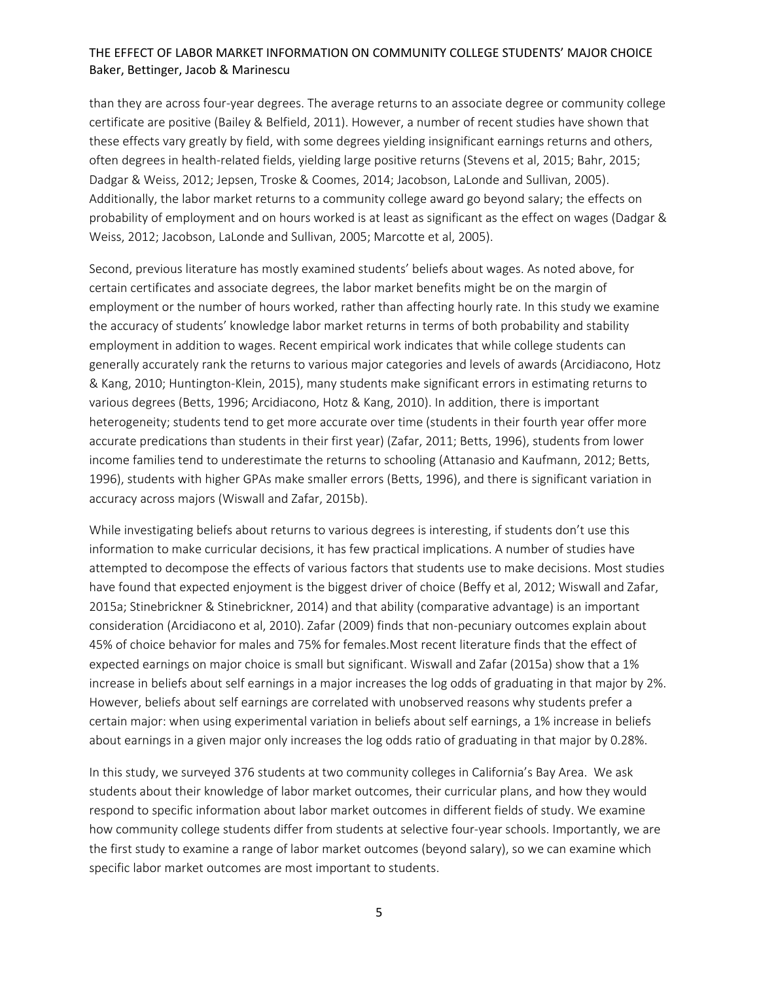than they are across four‐year degrees. The average returns to an associate degree or community college certificate are positive (Bailey & Belfield, 2011). However, a number of recent studies have shown that these effects vary greatly by field, with some degrees yielding insignificant earnings returns and others, often degrees in health‐related fields, yielding large positive returns (Stevens et al, 2015; Bahr, 2015; Dadgar & Weiss, 2012; Jepsen, Troske & Coomes, 2014; Jacobson, LaLonde and Sullivan, 2005). Additionally, the labor market returns to a community college award go beyond salary; the effects on probability of employment and on hours worked is at least as significant as the effect on wages (Dadgar & Weiss, 2012; Jacobson, LaLonde and Sullivan, 2005; Marcotte et al, 2005).

Second, previous literature has mostly examined students' beliefs about wages. As noted above, for certain certificates and associate degrees, the labor market benefits might be on the margin of employment or the number of hours worked, rather than affecting hourly rate. In this study we examine the accuracy of students' knowledge labor market returns in terms of both probability and stability employment in addition to wages. Recent empirical work indicates that while college students can generally accurately rank the returns to various major categories and levels of awards (Arcidiacono, Hotz & Kang, 2010; Huntington‐Klein, 2015), many students make significant errors in estimating returns to various degrees (Betts, 1996; Arcidiacono, Hotz & Kang, 2010). In addition, there is important heterogeneity; students tend to get more accurate over time (students in their fourth year offer more accurate predications than students in their first year) (Zafar, 2011; Betts, 1996), students from lower income families tend to underestimate the returns to schooling (Attanasio and Kaufmann, 2012; Betts, 1996), students with higher GPAs make smaller errors (Betts, 1996), and there is significant variation in accuracy across majors (Wiswall and Zafar, 2015b).

While investigating beliefs about returns to various degrees is interesting, if students don't use this information to make curricular decisions, it has few practical implications. A number of studies have attempted to decompose the effects of various factors that students use to make decisions. Most studies have found that expected enjoyment is the biggest driver of choice (Beffy et al, 2012; Wiswall and Zafar, 2015a; Stinebrickner & Stinebrickner, 2014) and that ability (comparative advantage) is an important consideration (Arcidiacono et al, 2010). Zafar (2009) finds that non‐pecuniary outcomes explain about 45% of choice behavior for males and 75% for females.Most recent literature finds that the effect of expected earnings on major choice is small but significant. Wiswall and Zafar (2015a) show that a 1% increase in beliefs about self earnings in a major increases the log odds of graduating in that major by 2%. However, beliefs about self earnings are correlated with unobserved reasons why students prefer a certain major: when using experimental variation in beliefs about self earnings, a 1% increase in beliefs about earnings in a given major only increases the log odds ratio of graduating in that major by 0.28%.

In this study, we surveyed 376 students at two community colleges in California's Bay Area. We ask students about their knowledge of labor market outcomes, their curricular plans, and how they would respond to specific information about labor market outcomes in different fields of study. We examine how community college students differ from students at selective four-year schools. Importantly, we are the first study to examine a range of labor market outcomes (beyond salary), so we can examine which specific labor market outcomes are most important to students.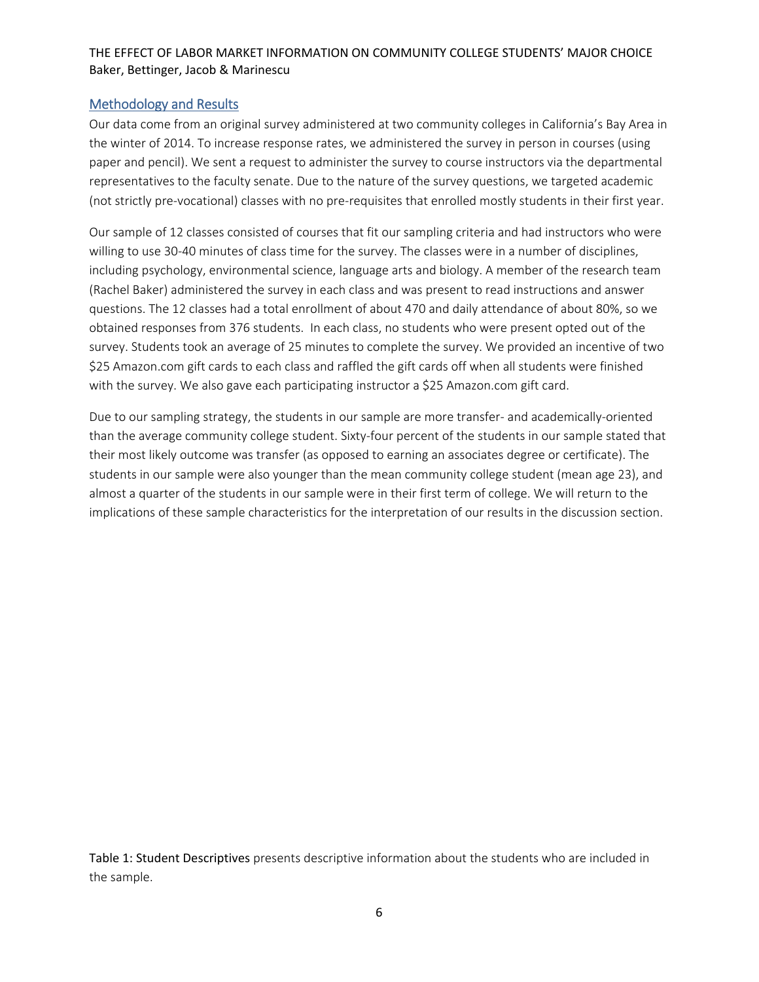#### Methodology and Results

Our data come from an original survey administered at two community colleges in California's Bay Area in the winter of 2014. To increase response rates, we administered the survey in person in courses (using paper and pencil). We sent a request to administer the survey to course instructors via the departmental representatives to the faculty senate. Due to the nature of the survey questions, we targeted academic (not strictly pre‐vocational) classes with no pre‐requisites that enrolled mostly students in their first year.

Our sample of 12 classes consisted of courses that fit our sampling criteria and had instructors who were willing to use 30-40 minutes of class time for the survey. The classes were in a number of disciplines, including psychology, environmental science, language arts and biology. A member of the research team (Rachel Baker) administered the survey in each class and was present to read instructions and answer questions. The 12 classes had a total enrollment of about 470 and daily attendance of about 80%, so we obtained responses from 376 students. In each class, no students who were present opted out of the survey. Students took an average of 25 minutes to complete the survey. We provided an incentive of two \$25 Amazon.com gift cards to each class and raffled the gift cards off when all students were finished with the survey. We also gave each participating instructor a \$25 Amazon.com gift card.

Due to our sampling strategy, the students in our sample are more transfer- and academically-oriented than the average community college student. Sixty‐four percent of the students in our sample stated that their most likely outcome was transfer (as opposed to earning an associates degree or certificate). The students in our sample were also younger than the mean community college student (mean age 23), and almost a quarter of the students in our sample were in their first term of college. We will return to the implications of these sample characteristics for the interpretation of our results in the discussion section.

Table 1: Student Descriptives presents descriptive information about the students who are included in the sample.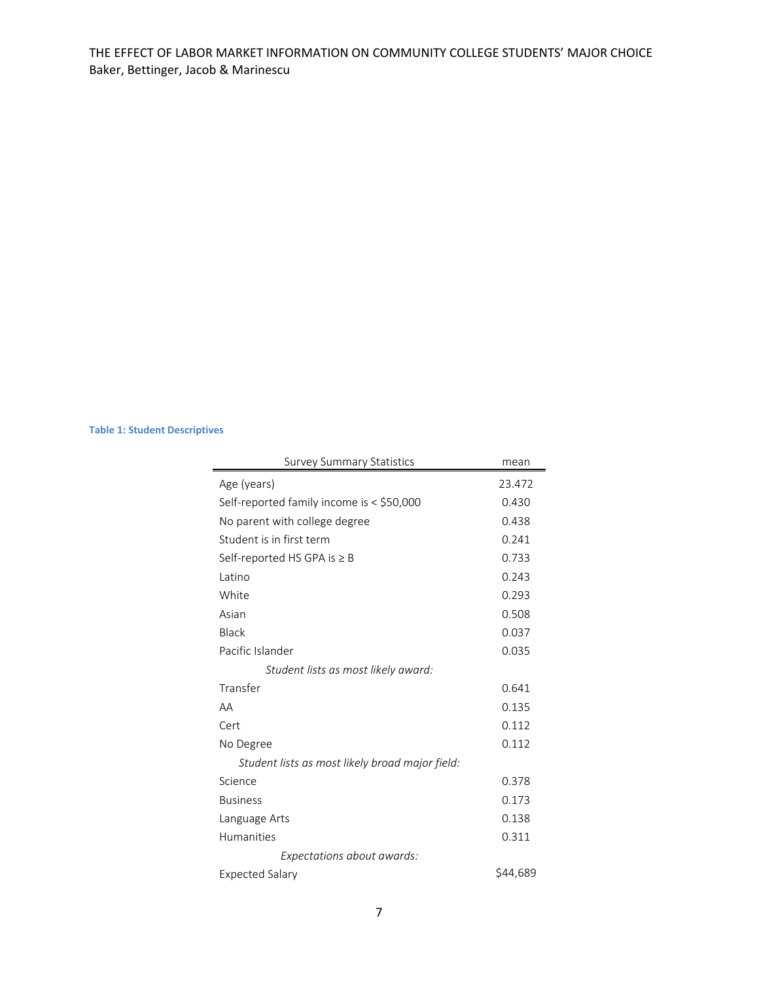#### **Table 1: Student Descriptives**

| <b>Survey Summary Statistics</b>                | mean     |
|-------------------------------------------------|----------|
| Age (years)                                     | 23.472   |
| Self-reported family income is < \$50,000       | 0.430    |
| No parent with college degree                   | 0.438    |
| Student is in first term                        | 0.241    |
| Self-reported HS GPA is $\geq$ B                | 0.733    |
| Latino                                          | 0.243    |
| White                                           | 0.293    |
| Asian                                           | 0.508    |
| <b>Black</b>                                    | 0.037    |
| Pacific Islander                                | 0.035    |
| Student lists as most likely award:             |          |
| Transfer                                        | 0.641    |
| AA                                              | 0.135    |
| Cert                                            | 0.112    |
| No Degree                                       | 0.112    |
| Student lists as most likely broad major field: |          |
| Science                                         | 0.378    |
| <b>Business</b>                                 | 0.173    |
| Language Arts                                   | 0.138    |
| <b>Humanities</b>                               | 0.311    |
| Expectations about awards:                      |          |
| Expected Salary                                 | \$44,689 |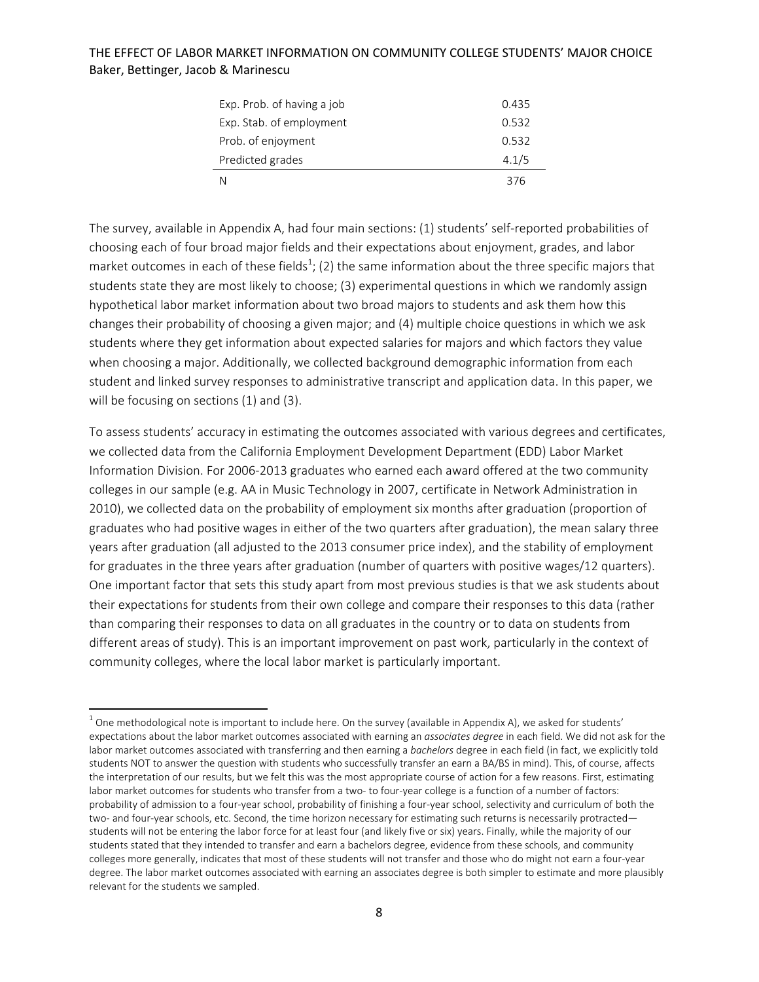| Exp. Prob. of having a job | 0.435 |
|----------------------------|-------|
| Exp. Stab. of employment   | 0.532 |
| Prob. of enjoyment         | 0.532 |
| Predicted grades           | 4.1/5 |
| N                          | 376   |

The survey, available in Appendix A, had four main sections: (1) students' self-reported probabilities of choosing each of four broad major fields and their expectations about enjoyment, grades, and labor market outcomes in each of these fields<sup>1</sup>; (2) the same information about the three specific majors that students state they are most likely to choose; (3) experimental questions in which we randomly assign hypothetical labor market information about two broad majors to students and ask them how this changes their probability of choosing a given major; and (4) multiple choice questions in which we ask students where they get information about expected salaries for majors and which factors they value when choosing a major. Additionally, we collected background demographic information from each student and linked survey responses to administrative transcript and application data. In this paper, we will be focusing on sections (1) and (3).

To assess students' accuracy in estimating the outcomes associated with various degrees and certificates, we collected data from the California Employment Development Department (EDD) Labor Market Information Division. For 2006‐2013 graduates who earned each award offered at the two community colleges in our sample (e.g. AA in Music Technology in 2007, certificate in Network Administration in 2010), we collected data on the probability of employment six months after graduation (proportion of graduates who had positive wages in either of the two quarters after graduation), the mean salary three years after graduation (all adjusted to the 2013 consumer price index), and the stability of employment for graduates in the three years after graduation (number of quarters with positive wages/12 quarters). One important factor that sets this study apart from most previous studies is that we ask students about their expectations for students from their own college and compare their responses to this data (rather than comparing their responses to data on all graduates in the country or to data on students from different areas of study). This is an important improvement on past work, particularly in the context of community colleges, where the local labor market is particularly important.

 $1$  One methodological note is important to include here. On the survey (available in Appendix A), we asked for students' expectations about the labor market outcomes associated with earning an *associates degree* in each field. We did not ask for the labor market outcomes associated with transferring and then earning a *bachelors* degree in each field (in fact, we explicitly told students NOT to answer the question with students who successfully transfer an earn a BA/BS in mind). This, of course, affects the interpretation of our results, but we felt this was the most appropriate course of action for a few reasons. First, estimating labor market outcomes for students who transfer from a two- to four-year college is a function of a number of factors: probability of admission to a four‐year school, probability of finishing a four‐year school, selectivity and curriculum of both the two- and four-year schools, etc. Second, the time horizon necessary for estimating such returns is necessarily protracted students will not be entering the labor force for at least four (and likely five or six) years. Finally, while the majority of our students stated that they intended to transfer and earn a bachelors degree, evidence from these schools, and community colleges more generally, indicates that most of these students will not transfer and those who do might not earn a four‐year degree. The labor market outcomes associated with earning an associates degree is both simpler to estimate and more plausibly relevant for the students we sampled.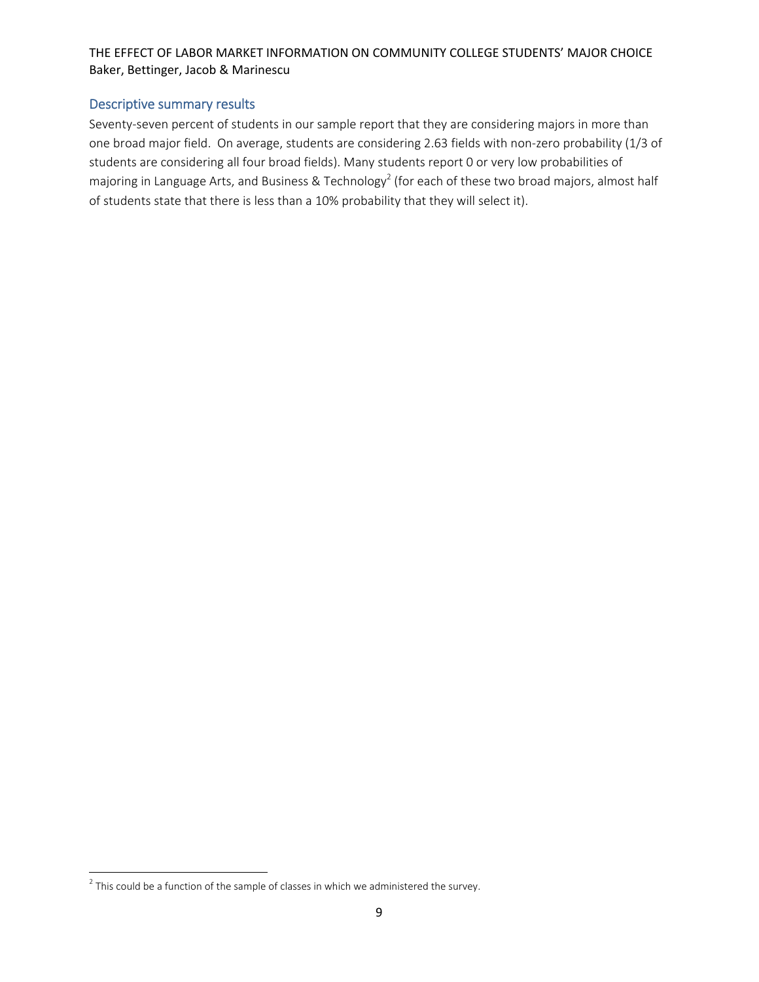#### Descriptive summary results

Seventy-seven percent of students in our sample report that they are considering majors in more than one broad major field. On average, students are considering 2.63 fields with non‐zero probability (1/3 of students are considering all four broad fields). Many students report 0 or very low probabilities of majoring in Language Arts, and Business & Technology<sup>2</sup> (for each of these two broad majors, almost half of students state that there is less than a 10% probability that they will select it).

 $2$  This could be a function of the sample of classes in which we administered the survey.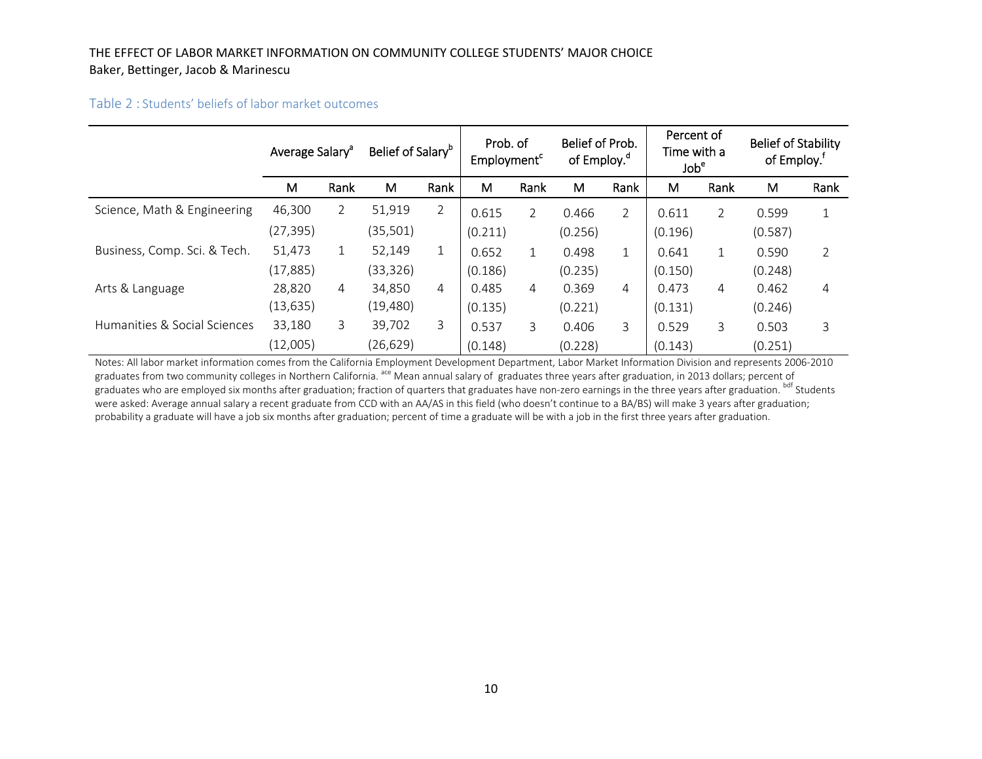#### Table 2 : Students' beliefs of labor market outcomes

|                              | Average Salary <sup>a</sup> |                | Belief of Salary <sup>b</sup> |                | Prob. of<br>Employment <sup>c</sup> |                | Belief of Prob.<br>of Employ. <sup>d</sup> |                | Percent of<br>Time with a<br>Job <sup>e</sup> |                | <b>Belief of Stability</b><br>of Employ. <sup>†</sup> |                |
|------------------------------|-----------------------------|----------------|-------------------------------|----------------|-------------------------------------|----------------|--------------------------------------------|----------------|-----------------------------------------------|----------------|-------------------------------------------------------|----------------|
|                              | м                           | Rank           | М                             | Rank           | M                                   | Rank           | М                                          | Rank           | M                                             | Rank           | M                                                     | Rank           |
| Science, Math & Engineering  | 46,300                      | $\overline{2}$ | 51,919                        | $\overline{2}$ | 0.615                               | $\overline{2}$ | 0.466                                      | $\overline{2}$ | 0.611                                         | $\overline{2}$ | 0.599                                                 | $\mathbf 1$    |
|                              | (27, 395)                   |                | (35, 501)                     |                | (0.211)                             |                | (0.256)                                    |                | (0.196)                                       |                | (0.587)                                               |                |
| Business, Comp. Sci. & Tech. | 51,473                      | $\mathbf{1}$   | 52,149                        | 1              | 0.652                               | $\mathbf{1}$   | 0.498                                      |                | 0.641                                         | $\mathbf{1}$   | 0.590                                                 | $\overline{2}$ |
|                              | (17, 885)                   |                | (33,326)                      |                | (0.186)                             |                | (0.235)                                    |                | (0.150)                                       |                | (0.248)                                               |                |
| Arts & Language              | 28,820                      | 4              | 34,850                        | 4              | 0.485                               | $\overline{4}$ | 0.369                                      | $\overline{4}$ | 0.473                                         | 4              | 0.462                                                 | 4              |
|                              | (13, 635)                   |                | (19, 480)                     |                | (0.135)                             |                | (0.221)                                    |                | (0.131)                                       |                | (0.246)                                               |                |
| Humanities & Social Sciences | 33,180                      | 3              | 39,702                        | 3              | 0.537                               | $\mathcal{E}$  | 0.406                                      | 3              | 0.529                                         | 3              | 0.503                                                 | 3              |
|                              | (12,005)                    |                | (26, 629)                     |                | (0.148)                             |                | (0.228)                                    |                | (0.143)                                       |                | (0.251)                                               |                |

Notes: All labor market information comes from the California Employment Development Department, Labor Market Information Division and represents 2006‐2010 graduates from two community colleges in Northern California. <sup>ace</sup> Mean annual salary of graduates three years after graduation, in 2013 dollars; percent of graduates who are employed six months after graduation; fraction of quarters that graduates have non-zero earnings in the three years after graduation. bdf Students were asked: Average annual salary <sup>a</sup> recent graduate from CCD with an AA/AS in this field (who doesn't continue to <sup>a</sup> BA/BS) will make 3 years after graduation; probability <sup>a</sup> graduate will have <sup>a</sup> job six months after graduation; percent of time <sup>a</sup> graduate will be with <sup>a</sup> job in the first three years after graduation.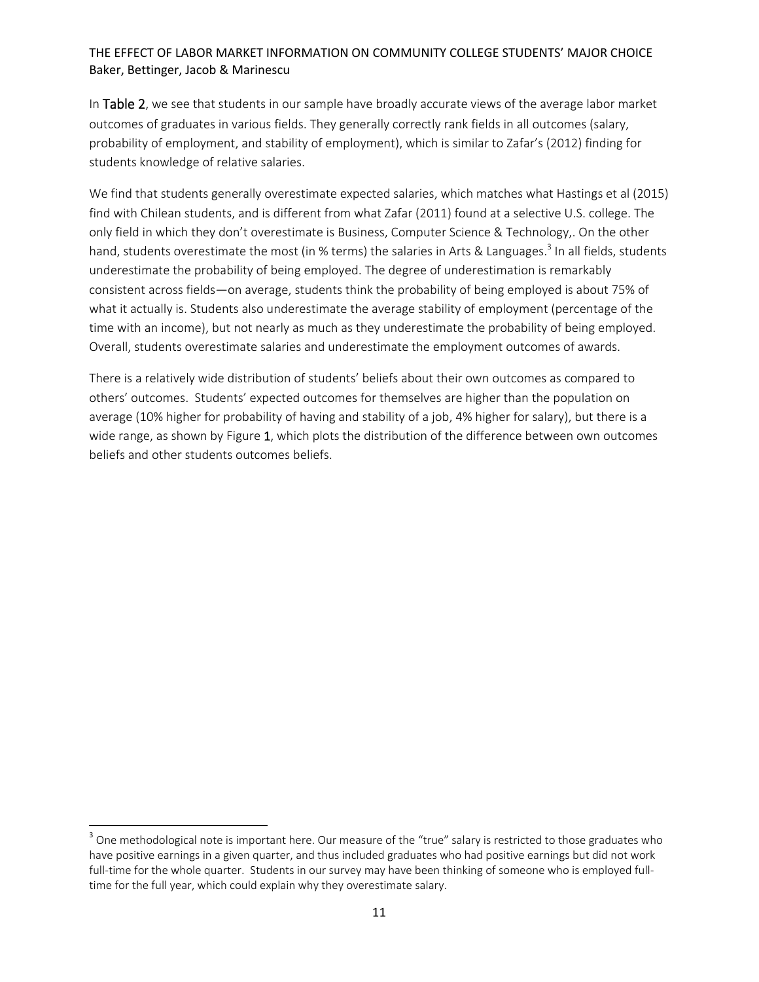In Table 2, we see that students in our sample have broadly accurate views of the average labor market outcomes of graduates in various fields. They generally correctly rank fields in all outcomes (salary, probability of employment, and stability of employment), which is similar to Zafar's (2012) finding for students knowledge of relative salaries.

We find that students generally overestimate expected salaries, which matches what Hastings et al (2015) find with Chilean students, and is different from what Zafar (2011) found at a selective U.S. college. The only field in which they don't overestimate is Business, Computer Science & Technology,. On the other hand, students overestimate the most (in % terms) the salaries in Arts & Languages.<sup>3</sup> In all fields, students underestimate the probability of being employed. The degree of underestimation is remarkably consistent across fields—on average, students think the probability of being employed is about 75% of what it actually is. Students also underestimate the average stability of employment (percentage of the time with an income), but not nearly as much as they underestimate the probability of being employed. Overall, students overestimate salaries and underestimate the employment outcomes of awards.

There is a relatively wide distribution of students' beliefs about their own outcomes as compared to others' outcomes. Students' expected outcomes for themselves are higher than the population on average (10% higher for probability of having and stability of a job, 4% higher for salary), but there is a wide range, as shown by Figure 1, which plots the distribution of the difference between own outcomes beliefs and other students outcomes beliefs.

<sup>&</sup>lt;sup>3</sup> One methodological note is important here. Our measure of the "true" salary is restricted to those graduates who have positive earnings in a given quarter, and thus included graduates who had positive earnings but did not work full-time for the whole quarter. Students in our survey may have been thinking of someone who is employed fulltime for the full year, which could explain why they overestimate salary.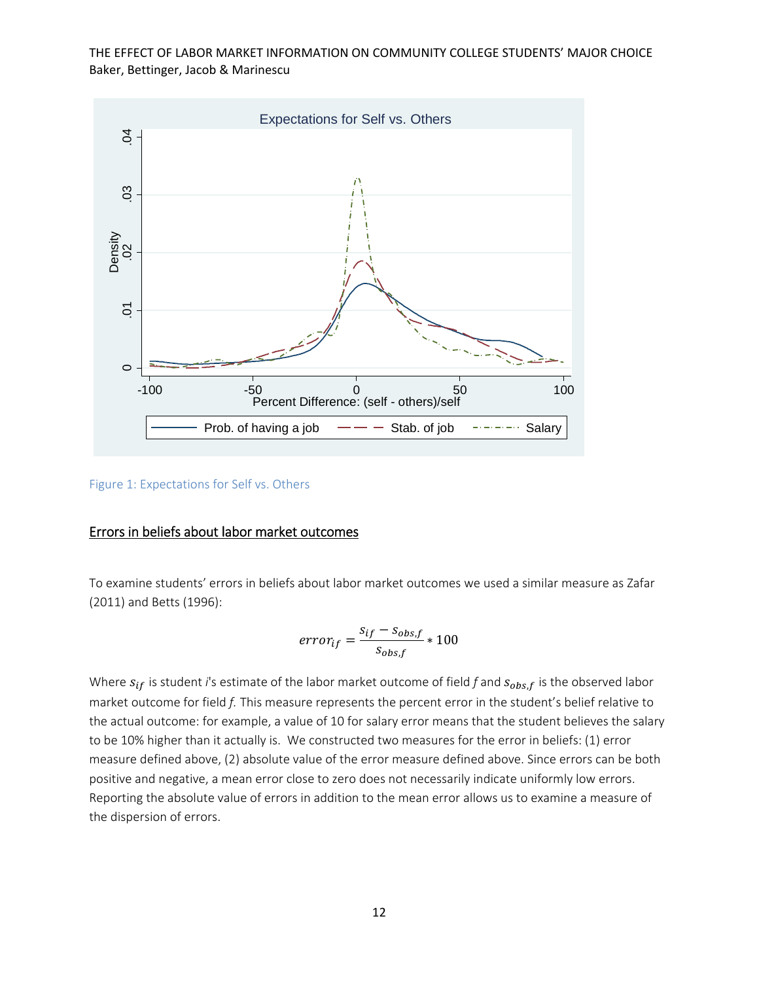

Figure 1: Expectations for Self vs. Others

#### Errors in beliefs about labor market outcomes

To examine students' errors in beliefs about labor market outcomes we used a similar measure as Zafar (2011) and Betts (1996):

$$
error_{if} = \frac{s_{if} - s_{obs,f}}{s_{obs,f}} * 100
$$

Where  $s_{if}$  is student *i*'s estimate of the labor market outcome of field *f* and  $s_{obs.f}$  is the observed labor market outcome for field *f.* This measure represents the percent error in the student's belief relative to the actual outcome: for example, a value of 10 for salary error means that the student believes the salary to be 10% higher than it actually is. We constructed two measures for the error in beliefs: (1) error measure defined above, (2) absolute value of the error measure defined above. Since errors can be both positive and negative, a mean error close to zero does not necessarily indicate uniformly low errors. Reporting the absolute value of errors in addition to the mean error allows us to examine a measure of the dispersion of errors.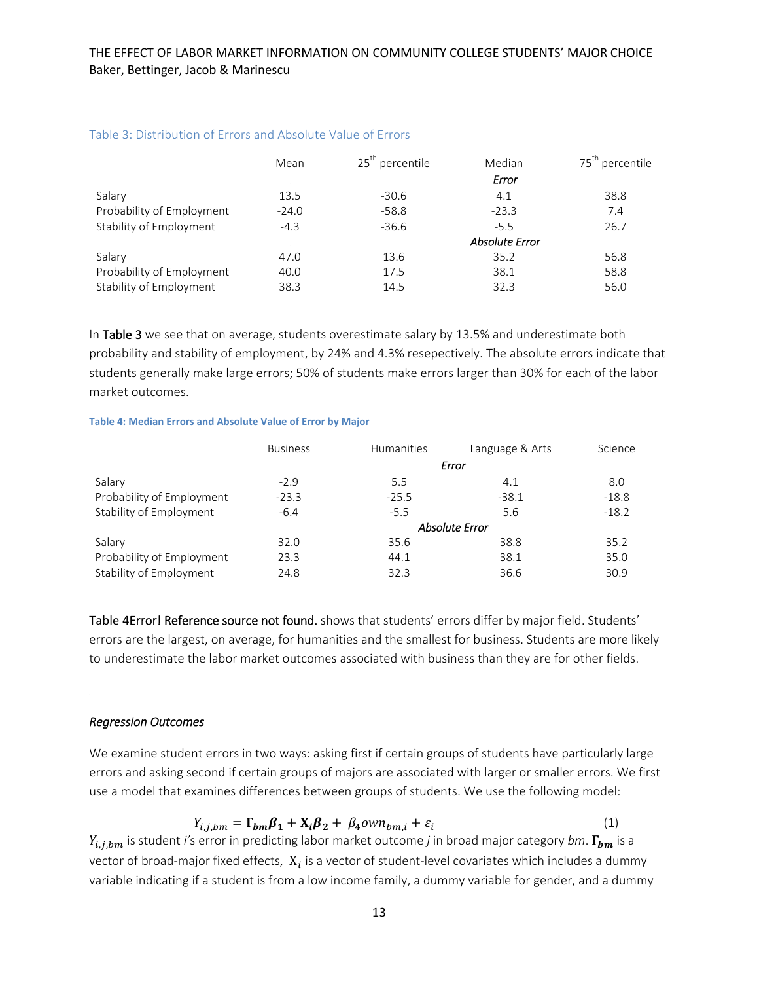|                           | Mean    | 25 <sup>th</sup> percentile | Median                | 75 <sup>th</sup> percentile |
|---------------------------|---------|-----------------------------|-----------------------|-----------------------------|
|                           |         |                             | Error                 |                             |
| Salary                    | 13.5    | $-30.6$                     | 4.1                   | 38.8                        |
| Probability of Employment | $-24.0$ | $-58.8$                     | $-23.3$               | 7.4                         |
| Stability of Employment   | $-4.3$  | $-36.6$                     | $-5.5$                | 26.7                        |
|                           |         |                             | <b>Absolute Error</b> |                             |
| Salary                    | 47.0    | 13.6                        | 35.2                  | 56.8                        |
| Probability of Employment | 40.0    | 17.5                        | 38.1                  | 58.8                        |
| Stability of Employment   | 38.3    | 14.5                        | 32.3                  | 56.0                        |

#### Table 3: Distribution of Errors and Absolute Value of Errors

In Table 3 we see that on average, students overestimate salary by 13.5% and underestimate both probability and stability of employment, by 24% and 4.3% resepectively. The absolute errors indicate that students generally make large errors; 50% of students make errors larger than 30% for each of the labor market outcomes.

#### **Table 4: Median Errors and Absolute Value of Error by Major**

|                           | <b>Business</b>       | Humanities | Language & Arts | Science |  |  |  |  |
|---------------------------|-----------------------|------------|-----------------|---------|--|--|--|--|
|                           |                       |            | Error           |         |  |  |  |  |
| Salary                    | $-2.9$                | 5.5        | 4.1             | 8.0     |  |  |  |  |
| Probability of Employment | $-23.3$               | $-25.5$    | $-38.1$         | $-18.8$ |  |  |  |  |
| Stability of Employment   | $-6.4$                | $-5.5$     | 5.6             | $-18.2$ |  |  |  |  |
|                           | <b>Absolute Error</b> |            |                 |         |  |  |  |  |
| Salary                    | 32.0                  | 35.6       | 38.8            | 35.2    |  |  |  |  |
| Probability of Employment | 23.3                  | 44.1       | 38.1            | 35.0    |  |  |  |  |
| Stability of Employment   | 24.8                  | 32.3       | 36.6            | 30.9    |  |  |  |  |

Table 4Error! Reference source not found. shows that students' errors differ by major field. Students' errors are the largest, on average, for humanities and the smallest for business. Students are more likely to underestimate the labor market outcomes associated with business than they are for other fields.

#### *Regression Outcomes*

We examine student errors in two ways: asking first if certain groups of students have particularly large errors and asking second if certain groups of majors are associated with larger or smaller errors. We first use a model that examines differences between groups of students. We use the following model:

$$
Y_{i,j,bm} = \Gamma_{bm} \beta_1 + X_i \beta_2 + \beta_4 own_{bm,i} + \varepsilon_i
$$
\n(1)

 $Y_{i,j,bm}$  is student *i'*s error in predicting labor market outcome *j* in broad major category *bm*.  $\Gamma_{bm}$  is a vector of broad-major fixed effects,  $X_i$  is a vector of student-level covariates which includes a dummy variable indicating if a student is from a low income family, a dummy variable for gender, and a dummy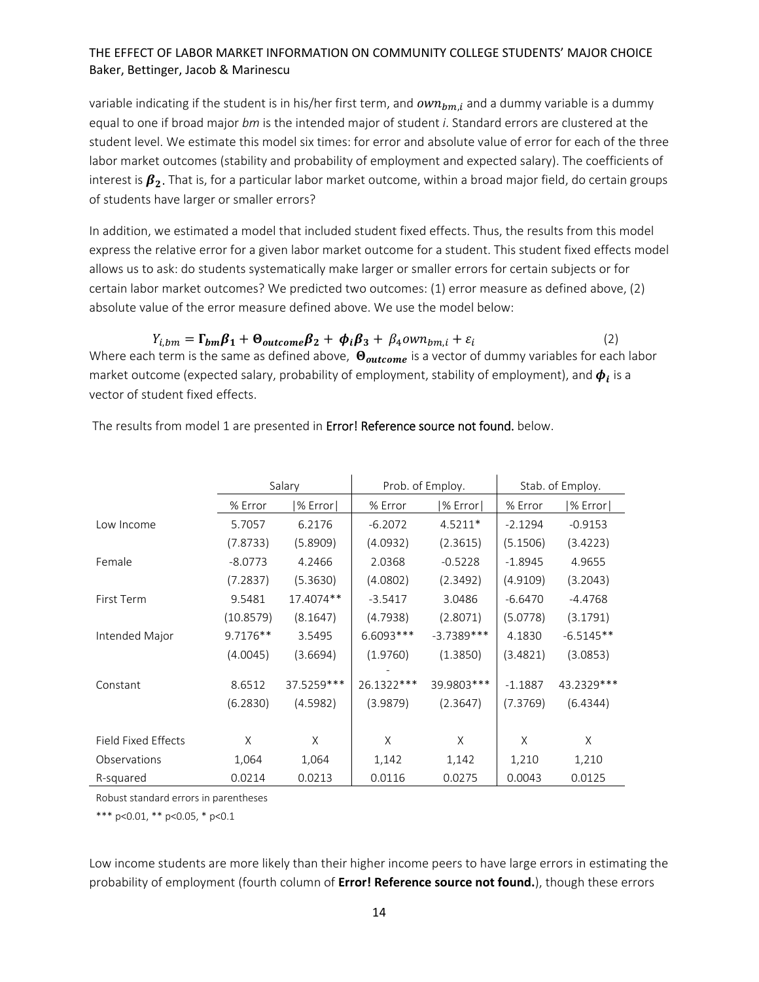variable indicating if the student is in his/her first term, and  $own_{bm,i}$  and a dummy variable is a dummy equal to one if broad major *bm* is the intended major of student *i*. Standard errors are clustered at the student level. We estimate this model six times: for error and absolute value of error for each of the three labor market outcomes (stability and probability of employment and expected salary). The coefficients of interest is  $\beta_2$ . That is, for a particular labor market outcome, within a broad major field, do certain groups of students have larger or smaller errors?

In addition, we estimated a model that included student fixed effects. Thus, the results from this model express the relative error for a given labor market outcome for a student. This student fixed effects model allows us to ask: do students systematically make larger or smaller errors for certain subjects or for certain labor market outcomes? We predicted two outcomes: (1) error measure as defined above, (2) absolute value of the error measure defined above. We use the model below:

 $Y_{i, bm} = \Gamma_{bm} \beta_1 + \Theta_{outcome} \beta_2 + \phi_i \beta_3 + \beta_4 own_{bm,i} + \varepsilon_i$  (2) Where each term is the same as defined above,  $\Theta_{outcome}$  is a vector of dummy variables for each labor market outcome (expected salary, probability of employment, stability of employment), and  $\phi_i$  is a vector of student fixed effects.

|                     | Salary     |            |            | Prob. of Employ. | Stab. of Employ. |             |  |
|---------------------|------------|------------|------------|------------------|------------------|-------------|--|
|                     | % Error    | % Error    | % Error    | $ \%$ Error $ $  | % Error          | $%$ Error   |  |
| Low Income          | 5.7057     | 6.2176     | $-6.2072$  | $4.5211*$        | $-2.1294$        | $-0.9153$   |  |
|                     | (7.8733)   | (5.8909)   | (4.0932)   | (2.3615)         | (5.1506)         | (3.4223)    |  |
| Female              | $-8.0773$  | 4.2466     | 2.0368     | $-0.5228$        | $-1.8945$        | 4.9655      |  |
|                     | (7.2837)   | (5.3630)   | (4.0802)   | (2.3492)         | (4.9109)         | (3.2043)    |  |
| First Term          | 9.5481     | 17.4074**  | $-3.5417$  | 3.0486           | $-6.6470$        | $-4.4768$   |  |
|                     | (10.8579)  | (8.1647)   | (4.7938)   | (2.8071)         | (5.0778)         | (3.1791)    |  |
| Intended Major      | $9.7176**$ | 3.5495     | 6.6093***  | $-3.7389***$     | 4.1830           | $-6.5145**$ |  |
|                     | (4.0045)   | (3.6694)   | (1.9760)   | (1.3850)         | (3.4821)         | (3.0853)    |  |
| Constant            | 8.6512     | 37.5259*** | 26.1322*** | 39.9803 ***      | $-1.1887$        | 43.2329 *** |  |
|                     | (6.2830)   | (4.5982)   | (3.9879)   | (2.3647)         | (7.3769)         | (6.4344)    |  |
|                     |            |            |            |                  |                  |             |  |
| Field Fixed Effects | X          | X          | X          | X                | X                | X           |  |
| Observations        | 1,064      | 1,064      | 1,142      | 1,142            | 1,210            | 1,210       |  |
| R-squared           | 0.0214     | 0.0213     | 0.0116     | 0.0275           | 0.0043           | 0.0125      |  |

The results from model 1 are presented in **Error! Reference source not found.** below.

Robust standard errors in parentheses

\*\*\* p<0.01, \*\* p<0.05, \* p<0.1

Low income students are more likely than their higher income peers to have large errors in estimating the probability of employment (fourth column of **Error! Reference source not found.**), though these errors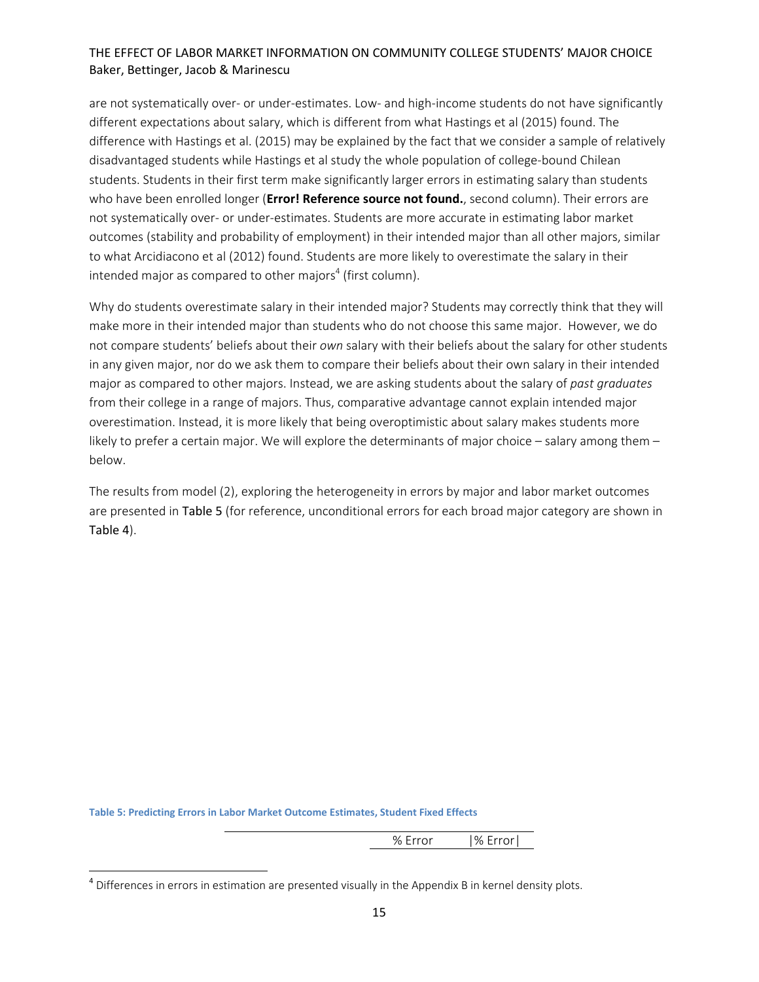are not systematically over- or under-estimates. Low- and high-income students do not have significantly different expectations about salary, which is different from what Hastings et al (2015) found. The difference with Hastings et al. (2015) may be explained by the fact that we consider a sample of relatively disadvantaged students while Hastings et al study the whole population of college‐bound Chilean students. Students in their first term make significantly larger errors in estimating salary than students who have been enrolled longer (**Error! Reference source not found.**, second column). Their errors are not systematically over‐ or under‐estimates. Students are more accurate in estimating labor market outcomes (stability and probability of employment) in their intended major than all other majors, similar to what Arcidiacono et al (2012) found. Students are more likely to overestimate the salary in their intended major as compared to other majors<sup>4</sup> (first column).

Why do students overestimate salary in their intended major? Students may correctly think that they will make more in their intended major than students who do not choose this same major. However, we do not compare students' beliefs about their *own* salary with their beliefs about the salary for other students in any given major, nor do we ask them to compare their beliefs about their own salary in their intended major as compared to other majors. Instead, we are asking students about the salary of *past graduates* from their college in a range of majors. Thus, comparative advantage cannot explain intended major overestimation. Instead, it is more likely that being overoptimistic about salary makes students more likely to prefer a certain major. We will explore the determinants of major choice – salary among them – below.

The results from model (2), exploring the heterogeneity in errors by major and labor market outcomes are presented in Table 5 (for reference, unconditional errors for each broad major category are shown in Table 4).

**Table 5: Predicting Errors in Labor Market Outcome Estimates, Student Fixed Effects**

% Error |% Error|

<sup>&</sup>lt;sup>4</sup> Differences in errors in estimation are presented visually in the Appendix B in kernel density plots.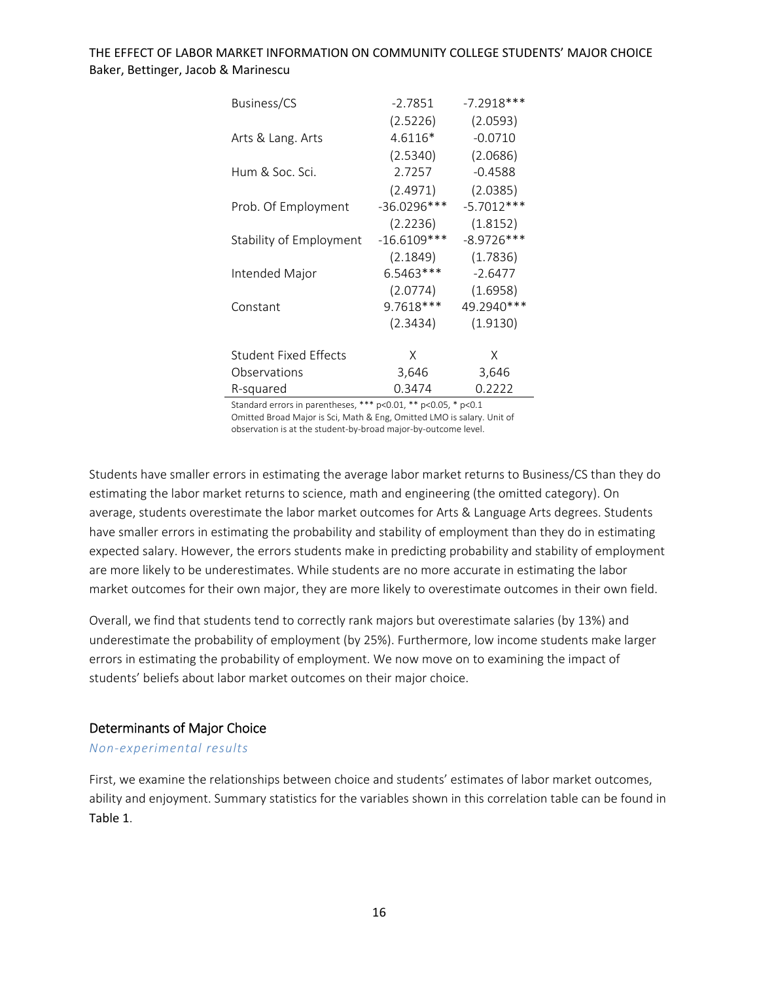| Business/CS                  | $-2.7851$     | $-7.2918***$ |
|------------------------------|---------------|--------------|
|                              | (2.5226)      | (2.0593)     |
| Arts & Lang. Arts            | 4.6116*       | $-0.0710$    |
|                              | (2.5340)      | (2.0686)     |
| Hum & Soc. Sci.              | 2.7257        | $-0.4588$    |
|                              | (2.4971)      | (2.0385)     |
| Prob. Of Employment          | $-36.0296***$ | $-5.7012***$ |
|                              | (2.2236)      | (1.8152)     |
| Stability of Employment      | $-16.6109***$ | $-8.9726***$ |
|                              | (2.1849)      | (1.7836)     |
| Intended Major               | $6.5463***$   | $-2.6477$    |
|                              | (2.0774)      | (1.6958)     |
| Constant                     | 9.7618***     | 49.2940***   |
|                              | (2.3434)      | (1.9130)     |
| <b>Student Fixed Effects</b> | Χ             | Χ            |
| Observations                 | 3,646         | 3,646        |
| R-squared                    | 0.3474        | 0.2222       |

Standard errors in parentheses, \*\*\* p<0.01, \*\* p<0.05, \* p<0.1 Omitted Broad Major is Sci, Math & Eng, Omitted LMO is salary. Unit of observation is at the student‐by‐broad major‐by‐outcome level.

Students have smaller errors in estimating the average labor market returns to Business/CS than they do estimating the labor market returns to science, math and engineering (the omitted category). On average, students overestimate the labor market outcomes for Arts & Language Arts degrees. Students have smaller errors in estimating the probability and stability of employment than they do in estimating expected salary. However, the errors students make in predicting probability and stability of employment are more likely to be underestimates. While students are no more accurate in estimating the labor market outcomes for their own major, they are more likely to overestimate outcomes in their own field.

Overall, we find that students tend to correctly rank majors but overestimate salaries (by 13%) and underestimate the probability of employment (by 25%). Furthermore, low income students make larger errors in estimating the probability of employment. We now move on to examining the impact of students' beliefs about labor market outcomes on their major choice.

#### Determinants of Major Choice

#### *Non‐experimental results*

First, we examine the relationships between choice and students' estimates of labor market outcomes, ability and enjoyment. Summary statistics for the variables shown in this correlation table can be found in Table 1.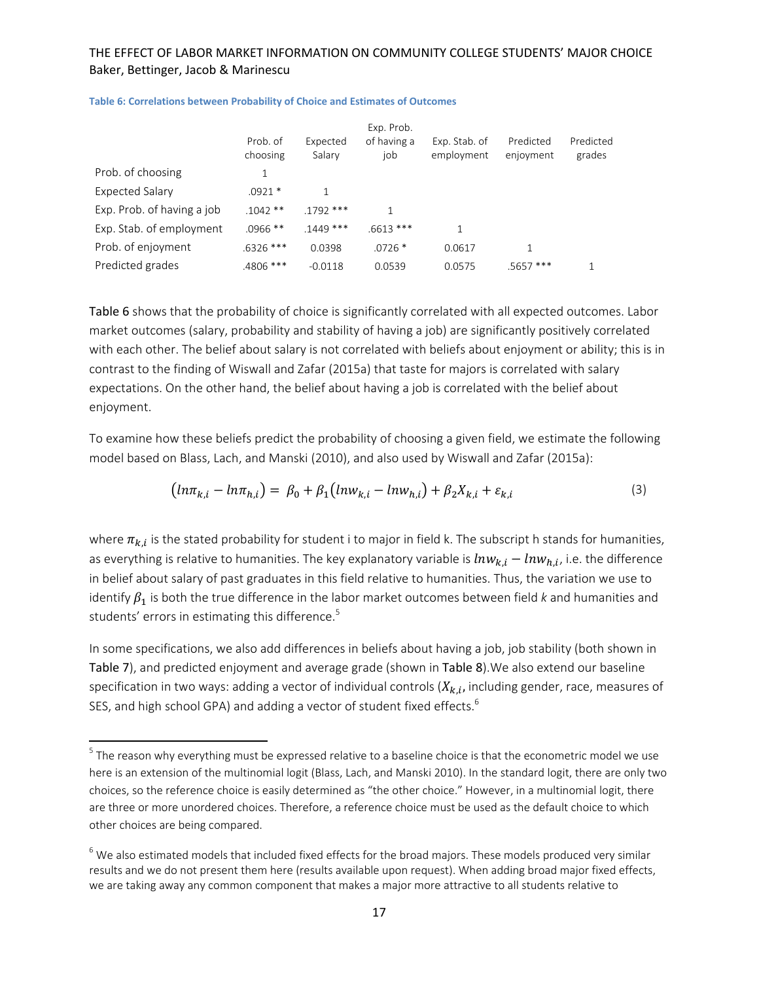|                            |                      |                    | Exp. Prob.         |                             |                        |                     |
|----------------------------|----------------------|--------------------|--------------------|-----------------------------|------------------------|---------------------|
|                            | Prob. of<br>choosing | Expected<br>Salary | of having a<br>job | Exp. Stab. of<br>employment | Predicted<br>enjoyment | Predicted<br>grades |
| Prob. of choosing          |                      |                    |                    |                             |                        |                     |
| <b>Expected Salary</b>     | $.0921*$             |                    |                    |                             |                        |                     |
| Exp. Prob. of having a job | $.1042**$            | $.1792$ ***        |                    |                             |                        |                     |
| Exp. Stab. of employment   | $.0966$ **           | $.1449$ ***        | $.6613***$         | 1                           |                        |                     |
| Prob. of enjoyment         | $.6326$ ***          | 0.0398             | $.0726*$           | 0.0617                      |                        |                     |
| Predicted grades           | .4806 ***            | $-0.0118$          | 0.0539             | 0.0575                      | $.5657$ ***            |                     |

**Table 6: Correlations between Probability of Choice and Estimates of Outcomes**

Table 6 shows that the probability of choice is significantly correlated with all expected outcomes. Labor market outcomes (salary, probability and stability of having a job) are significantly positively correlated with each other. The belief about salary is not correlated with beliefs about enjoyment or ability; this is in contrast to the finding of Wiswall and Zafar (2015a) that taste for majors is correlated with salary expectations. On the other hand, the belief about having a job is correlated with the belief about enjoyment.

To examine how these beliefs predict the probability of choosing a given field, we estimate the following model based on Blass, Lach, and Manski (2010), and also used by Wiswall and Zafar (2015a):

$$
(ln \pi_{k,i} - ln \pi_{h,i}) = \beta_0 + \beta_1 (ln w_{k,i} - ln w_{h,i}) + \beta_2 X_{k,i} + \varepsilon_{k,i}
$$
\n(3)

where  $\pi_{k,i}$  is the stated probability for student i to major in field k. The subscript h stands for humanities, as everything is relative to humanities. The key explanatory variable is  $ln w_{k,i} - ln w_{h,i}$ , i.e. the difference in belief about salary of past graduates in this field relative to humanities. Thus, the variation we use to identify  $\beta_1$  is both the true difference in the labor market outcomes between field *k* and humanities and students' errors in estimating this difference.<sup>5</sup>

In some specifications, we also add differences in beliefs about having a job, job stability (both shown in Table 7), and predicted enjoyment and average grade (shown in Table 8).We also extend our baseline specification in two ways: adding a vector of individual controls  $(X_{k,i})$ , including gender, race, measures of SES, and high school GPA) and adding a vector of student fixed effects.<sup>6</sup>

 $5$  The reason why everything must be expressed relative to a baseline choice is that the econometric model we use here is an extension of the multinomial logit (Blass, Lach, and Manski 2010). In the standard logit, there are only two choices, so the reference choice is easily determined as "the other choice." However, in a multinomial logit, there are three or more unordered choices. Therefore, a reference choice must be used as the default choice to which other choices are being compared.

 $6$  We also estimated models that included fixed effects for the broad majors. These models produced very similar results and we do not present them here (results available upon request). When adding broad major fixed effects, we are taking away any common component that makes a major more attractive to all students relative to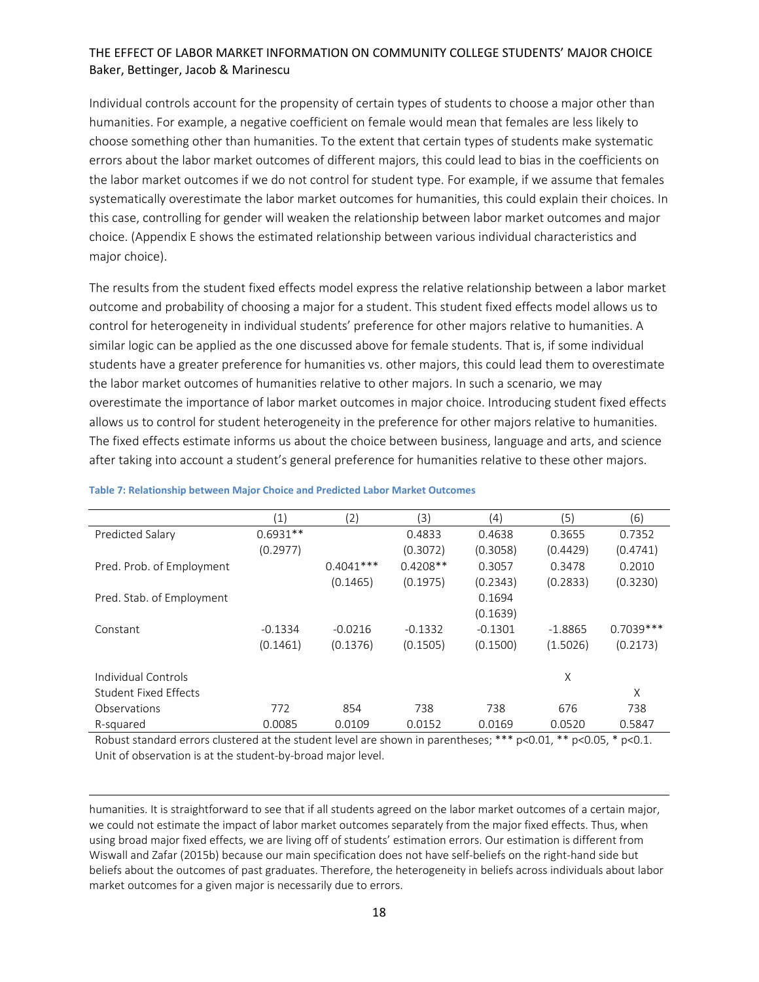Individual controls account for the propensity of certain types of students to choose a major other than humanities. For example, a negative coefficient on female would mean that females are less likely to choose something other than humanities. To the extent that certain types of students make systematic errors about the labor market outcomes of different majors, this could lead to bias in the coefficients on the labor market outcomes if we do not control for student type. For example, if we assume that females systematically overestimate the labor market outcomes for humanities, this could explain their choices. In this case, controlling for gender will weaken the relationship between labor market outcomes and major choice. (Appendix E shows the estimated relationship between various individual characteristics and major choice).

The results from the student fixed effects model express the relative relationship between a labor market outcome and probability of choosing a major for a student. This student fixed effects model allows us to control for heterogeneity in individual students' preference for other majors relative to humanities. A similar logic can be applied as the one discussed above for female students. That is, if some individual students have a greater preference for humanities vs. other majors, this could lead them to overestimate the labor market outcomes of humanities relative to other majors. In such a scenario, we may overestimate the importance of labor market outcomes in major choice. Introducing student fixed effects allows us to control for student heterogeneity in the preference for other majors relative to humanities. The fixed effects estimate informs us about the choice between business, language and arts, and science after taking into account a student's general preference for humanities relative to these other majors.

|                           | (1)        | (2)         | (3)        | (4)       | (5)       | (6)         |
|---------------------------|------------|-------------|------------|-----------|-----------|-------------|
| Predicted Salary          | $0.6931**$ |             | 0.4833     | 0.4638    | 0.3655    | 0.7352      |
|                           | (0.2977)   |             | (0.3072)   | (0.3058)  | (0.4429)  | (0.4741)    |
| Pred. Prob. of Employment |            | $0.4041***$ | $0.4208**$ | 0.3057    | 0.3478    | 0.2010      |
|                           |            | (0.1465)    | (0.1975)   | (0.2343)  | (0.2833)  | (0.3230)    |
| Pred. Stab. of Employment |            |             |            | 0.1694    |           |             |
|                           |            |             |            | (0.1639)  |           |             |
| Constant                  | $-0.1334$  | $-0.0216$   | $-0.1332$  | $-0.1301$ | $-1.8865$ | $0.7039***$ |
|                           | (0.1461)   | (0.1376)    | (0.1505)   | (0.1500)  | (1.5026)  | (0.2173)    |
| Individual Controls       |            |             |            |           | Χ         |             |
| Student Fixed Effects     |            |             |            |           |           | Χ           |
| Observations              | 772        | 854         | 738        | 738       | 676       | 738         |
| R-squared                 | 0.0085     | 0.0109      | 0.0152     | 0.0169    | 0.0520    | 0.5847      |

#### **Table 7: Relationship between Major Choice and Predicted Labor Market Outcomes**

Robust standard errors clustered at the student level are shown in parentheses; \*\*\* p<0.01, \*\* p<0.05, \* p<0.1. Unit of observation is at the student‐by‐broad major level.

humanities. It is straightforward to see that if all students agreed on the labor market outcomes of a certain major, we could not estimate the impact of labor market outcomes separately from the major fixed effects. Thus, when using broad major fixed effects, we are living off of students' estimation errors. Our estimation is different from Wiswall and Zafar (2015b) because our main specification does not have self‐beliefs on the right‐hand side but beliefs about the outcomes of past graduates. Therefore, the heterogeneity in beliefs across individuals about labor market outcomes for a given major is necessarily due to errors.

<u> 1989 - Johann Stoff, amerikansk politiker (d. 1989)</u>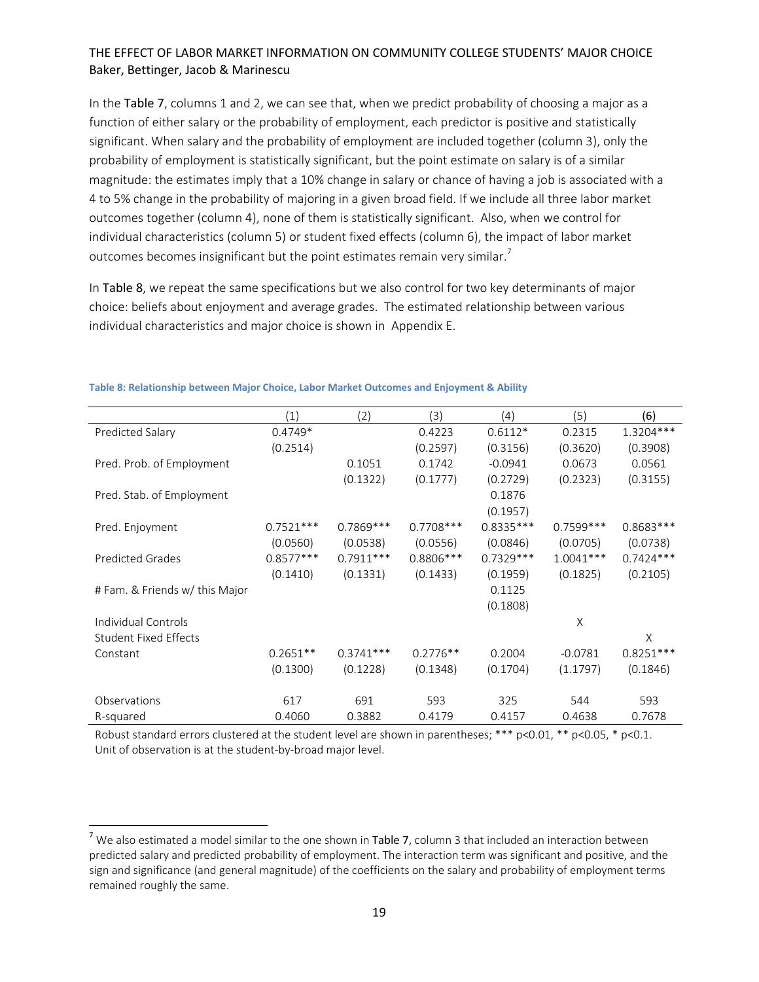In the Table 7, columns 1 and 2, we can see that, when we predict probability of choosing a major as a function of either salary or the probability of employment, each predictor is positive and statistically significant. When salary and the probability of employment are included together (column 3), only the probability of employment is statistically significant, but the point estimate on salary is of a similar magnitude: the estimates imply that a 10% change in salary or chance of having a job is associated with a 4 to 5% change in the probability of majoring in a given broad field. If we include all three labor market outcomes together (column 4), none of them is statistically significant. Also, when we control for individual characteristics (column 5) or student fixed effects (column 6), the impact of labor market outcomes becomes insignificant but the point estimates remain very similar.<sup>7</sup>

In Table 8, we repeat the same specifications but we also control for two key determinants of major choice: beliefs about enjoyment and average grades. The estimated relationship between various individual characteristics and major choice is shown in Appendix E.

|                                | (1)         | (2)         | (3)         | (4)         | (5)         | (6)         |
|--------------------------------|-------------|-------------|-------------|-------------|-------------|-------------|
| Predicted Salary               | $0.4749*$   |             | 0.4223      | $0.6112*$   | 0.2315      | $1.3204***$ |
|                                | (0.2514)    |             | (0.2597)    | (0.3156)    | (0.3620)    | (0.3908)    |
| Pred. Prob. of Employment      |             | 0.1051      | 0.1742      | $-0.0941$   | 0.0673      | 0.0561      |
|                                |             | (0.1322)    | (0.1777)    | (0.2729)    | (0.2323)    | (0.3155)    |
| Pred. Stab. of Employment      |             |             |             | 0.1876      |             |             |
|                                |             |             |             | (0.1957)    |             |             |
| Pred. Enjoyment                | $0.7521***$ | 0.7869 ***  | $0.7708***$ | 0.8335 ***  | $0.7599***$ | $0.8683***$ |
|                                | (0.0560)    | (0.0538)    | (0.0556)    | (0.0846)    | (0.0705)    | (0.0738)    |
| <b>Predicted Grades</b>        | $0.8577***$ | $0.7911***$ | $0.8806***$ | $0.7329***$ | $1.0041***$ | $0.7424***$ |
|                                | (0.1410)    | (0.1331)    | (0.1433)    | (0.1959)    | (0.1825)    | (0.2105)    |
| # Fam. & Friends w/ this Major |             |             |             | 0.1125      |             |             |
|                                |             |             |             | (0.1808)    |             |             |
| Individual Controls            |             |             |             |             | X           |             |
| <b>Student Fixed Effects</b>   |             |             |             |             |             | X           |
| Constant                       | $0.2651**$  | $0.3741***$ | $0.2776**$  | 0.2004      | $-0.0781$   | $0.8251***$ |
|                                | (0.1300)    | (0.1228)    | (0.1348)    | (0.1704)    | (1.1797)    | (0.1846)    |
|                                |             |             |             |             |             |             |
| Observations                   | 617         | 691         | 593         | 325         | 544         | 593         |
| R-squared                      | 0.4060      | 0.3882      | 0.4179      | 0.4157      | 0.4638      | 0.7678      |

#### **Table 8: Relationship between Major Choice, Labor Market Outcomes and Enjoyment & Ability**

Robust standard errors clustered at the student level are shown in parentheses; \*\*\* p<0.01, \*\* p<0.05, \* p<0.1. Unit of observation is at the student‐by‐broad major level.

<sup>&</sup>lt;sup>7</sup> We also estimated a model similar to the one shown in Table 7, column 3 that included an interaction between predicted salary and predicted probability of employment. The interaction term was significant and positive, and the sign and significance (and general magnitude) of the coefficients on the salary and probability of employment terms remained roughly the same.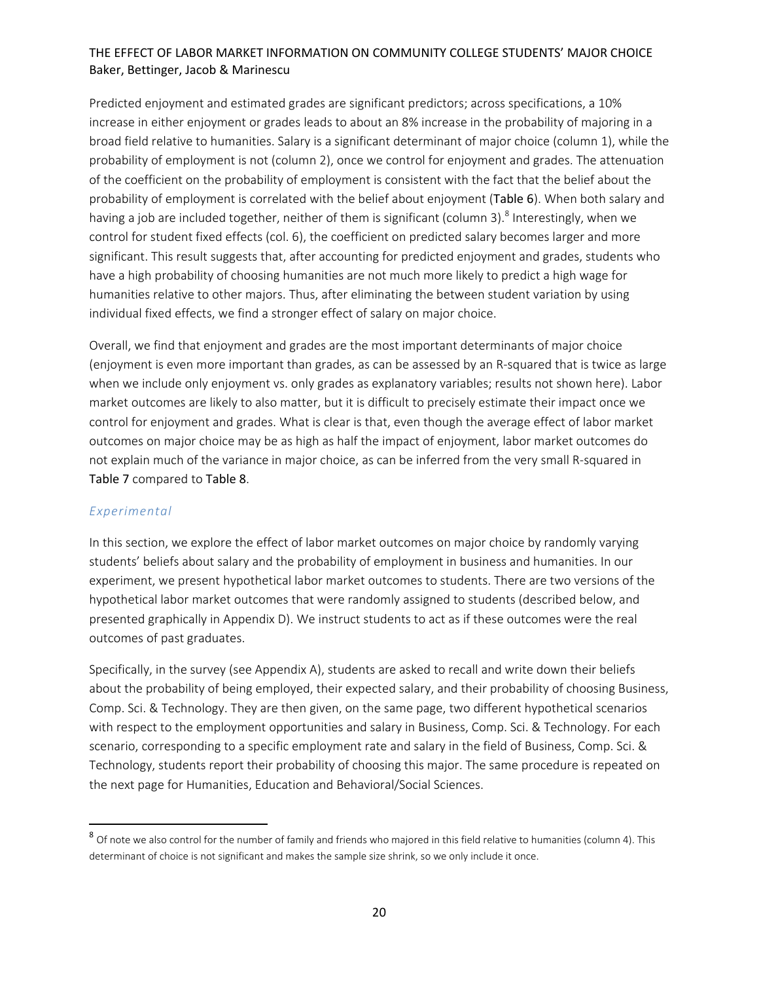Predicted enjoyment and estimated grades are significant predictors; across specifications, a 10% increase in either enjoyment or grades leads to about an 8% increase in the probability of majoring in a broad field relative to humanities. Salary is a significant determinant of major choice (column 1), while the probability of employment is not (column 2), once we control for enjoyment and grades. The attenuation of the coefficient on the probability of employment is consistent with the fact that the belief about the probability of employment is correlated with the belief about enjoyment (Table 6). When both salary and having a job are included together, neither of them is significant (column 3).<sup>8</sup> Interestingly, when we control for student fixed effects (col. 6), the coefficient on predicted salary becomes larger and more significant. This result suggests that, after accounting for predicted enjoyment and grades, students who have a high probability of choosing humanities are not much more likely to predict a high wage for humanities relative to other majors. Thus, after eliminating the between student variation by using individual fixed effects, we find a stronger effect of salary on major choice.

Overall, we find that enjoyment and grades are the most important determinants of major choice (enjoyment is even more important than grades, as can be assessed by an R‐squared that is twice as large when we include only enjoyment vs. only grades as explanatory variables; results not shown here). Labor market outcomes are likely to also matter, but it is difficult to precisely estimate their impact once we control for enjoyment and grades. What is clear is that, even though the average effect of labor market outcomes on major choice may be as high as half the impact of enjoyment, labor market outcomes do not explain much of the variance in major choice, as can be inferred from the very small R-squared in Table 7 compared to Table 8.

#### *Experimental*

In this section, we explore the effect of labor market outcomes on major choice by randomly varying students' beliefs about salary and the probability of employment in business and humanities. In our experiment, we present hypothetical labor market outcomes to students. There are two versions of the hypothetical labor market outcomes that were randomly assigned to students (described below, and presented graphically in Appendix D). We instruct students to act as if these outcomes were the real outcomes of past graduates.

Specifically, in the survey (see Appendix A), students are asked to recall and write down their beliefs about the probability of being employed, their expected salary, and their probability of choosing Business, Comp. Sci. & Technology. They are then given, on the same page, two different hypothetical scenarios with respect to the employment opportunities and salary in Business, Comp. Sci. & Technology. For each scenario, corresponding to a specific employment rate and salary in the field of Business, Comp. Sci. & Technology, students report their probability of choosing this major. The same procedure is repeated on the next page for Humanities, Education and Behavioral/Social Sciences.

<sup>8</sup> Of note we also control for the number of family and friends who majored in this field relative to humanities (column 4). This determinant of choice is not significant and makes the sample size shrink, so we only include it once.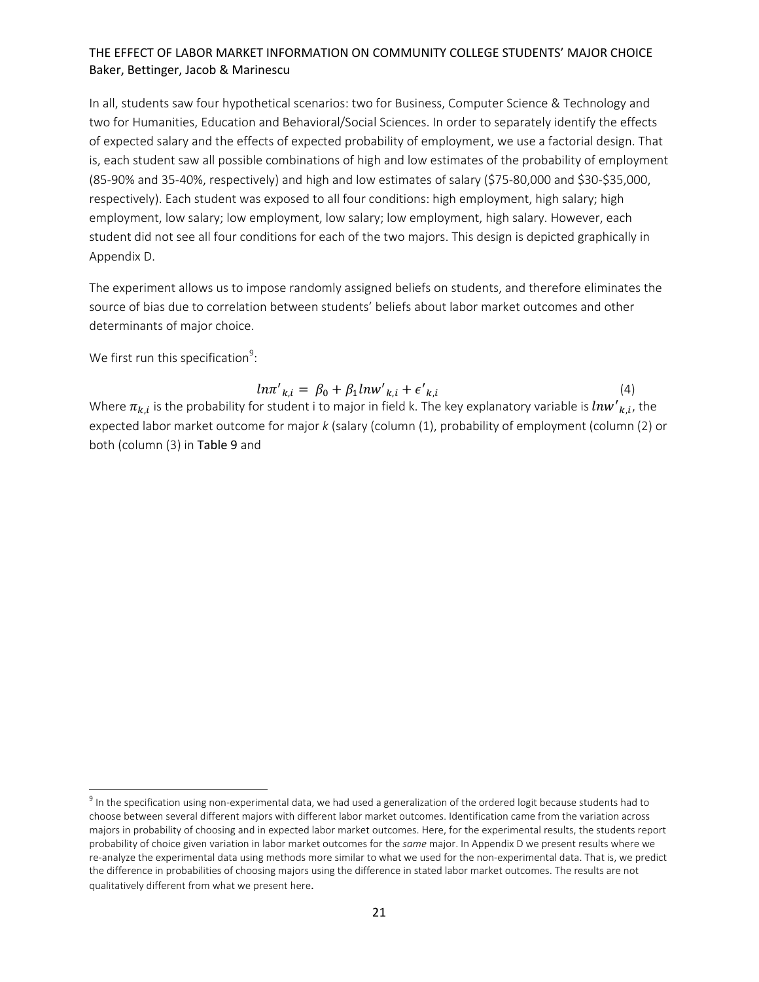In all, students saw four hypothetical scenarios: two for Business, Computer Science & Technology and two for Humanities, Education and Behavioral/Social Sciences. In order to separately identify the effects of expected salary and the effects of expected probability of employment, we use a factorial design. That is, each student saw all possible combinations of high and low estimates of the probability of employment (85‐90% and 35‐40%, respectively) and high and low estimates of salary (\$75‐80,000 and \$30‐\$35,000, respectively). Each student was exposed to all four conditions: high employment, high salary; high employment, low salary; low employment, low salary; low employment, high salary. However, each student did not see all four conditions for each of the two majors. This design is depicted graphically in Appendix D.

The experiment allows us to impose randomly assigned beliefs on students, and therefore eliminates the source of bias due to correlation between students' beliefs about labor market outcomes and other determinants of major choice.

We first run this specification $9$ :

 $ln\pi'_{k,i} = \beta_0 + \beta_1 lnw'_{k,i} + \epsilon'$  $k, i$  (4) Where  $\pi_{k,i}$  is the probability for student i to major in field k. The key explanatory variable is  ${^ln}w'{}_{k,i}$ , the expected labor market outcome for major *k* (salary (column (1), probability of employment (column (2) or both (column (3) in Table 9 and

 $9$  In the specification using non-experimental data, we had used a generalization of the ordered logit because students had to choose between several different majors with different labor market outcomes. Identification came from the variation across majors in probability of choosing and in expected labor market outcomes. Here, for the experimental results, the students report probability of choice given variation in labor market outcomes for the *same* major. In Appendix D we present results where we re-analyze the experimental data using methods more similar to what we used for the non-experimental data. That is, we predict the difference in probabilities of choosing majors using the difference in stated labor market outcomes. The results are not qualitatively different from what we present here.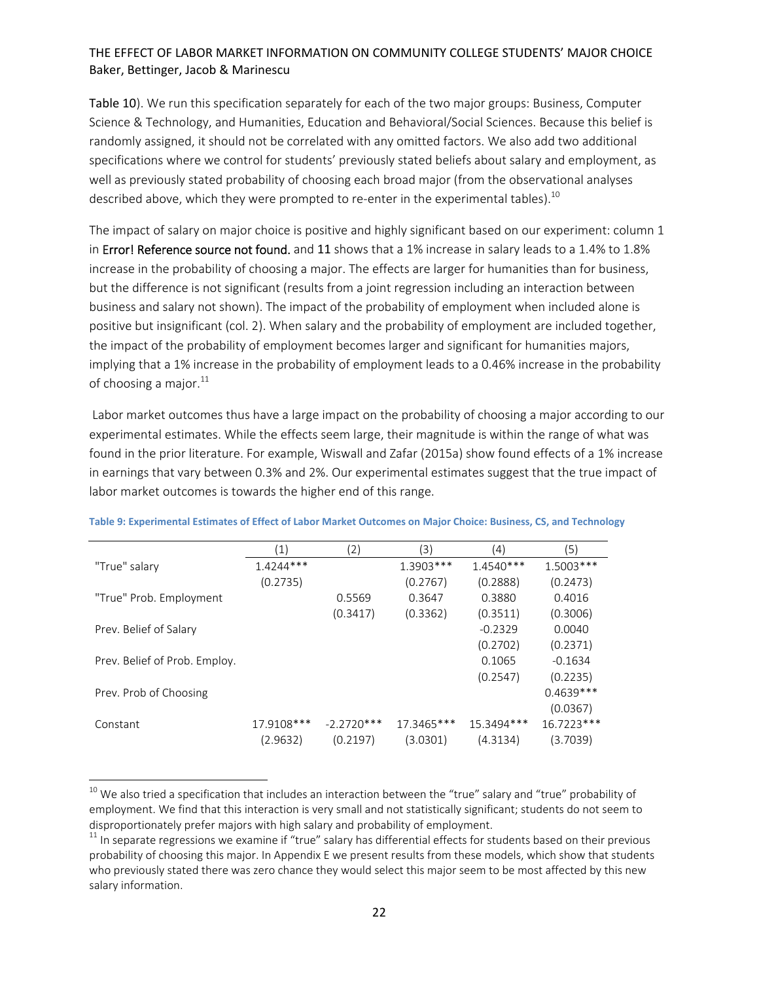Table 10). We run this specification separately for each of the two major groups: Business, Computer Science & Technology, and Humanities, Education and Behavioral/Social Sciences. Because this belief is randomly assigned, it should not be correlated with any omitted factors. We also add two additional specifications where we control for students' previously stated beliefs about salary and employment, as well as previously stated probability of choosing each broad major (from the observational analyses described above, which they were prompted to re-enter in the experimental tables).<sup>10</sup>

The impact of salary on major choice is positive and highly significant based on our experiment: column 1 in Error! Reference source not found. and 11 shows that a 1% increase in salary leads to a 1.4% to 1.8% increase in the probability of choosing a major. The effects are larger for humanities than for business, but the difference is not significant (results from a joint regression including an interaction between business and salary not shown). The impact of the probability of employment when included alone is positive but insignificant (col. 2). When salary and the probability of employment are included together, the impact of the probability of employment becomes larger and significant for humanities majors, implying that a 1% increase in the probability of employment leads to a 0.46% increase in the probability of choosing a major. $^{11}$ 

Labor market outcomes thus have a large impact on the probability of choosing a major according to our experimental estimates. While the effects seem large, their magnitude is within the range of what was found in the prior literature. For example, Wiswall and Zafar (2015a) show found effects of a 1% increase in earnings that vary between 0.3% and 2%. Our experimental estimates suggest that the true impact of labor market outcomes is towards the higher end of this range.

|                               | $\left( 1\right)$ | 2)           | (3)         | (4)         | (5)          |
|-------------------------------|-------------------|--------------|-------------|-------------|--------------|
| "True" salary                 | $1.4244***$       |              | $1.3903***$ | $1.4540***$ | 1.5003***    |
|                               | (0.2735)          |              | (0.2767)    | (0.2888)    | (0.2473)     |
| "True" Prob. Employment       |                   | 0.5569       | 0.3647      | 0.3880      | 0.4016       |
|                               |                   | (0.3417)     | (0.3362)    | (0.3511)    | (0.3006)     |
| Prev. Belief of Salary        |                   |              |             | $-0.2329$   | 0.0040       |
|                               |                   |              |             | (0.2702)    | (0.2371)     |
| Prev. Belief of Prob. Employ. |                   |              |             | 0.1065      | $-0.1634$    |
|                               |                   |              |             | (0.2547)    | (0.2235)     |
| Prev. Prob of Choosing        |                   |              |             |             | $0.4639***$  |
|                               |                   |              |             |             | (0.0367)     |
| Constant                      | 17.9108***        | $-2.2720***$ | 17.3465***  | 15.3494***  | $16.7223***$ |
|                               | (2.9632)          | (0.2197)     | (3.0301)    | (4.3134)    | (3.7039)     |

#### Table 9: Experimental Estimates of Effect of Labor Market Outcomes on Major Choice: Business, CS, and Technology

 $^{\rm 10}$  We also tried a specification that includes an interaction between the "true" salary and "true" probability of employment. We find that this interaction is very small and not statistically significant; students do not seem to disproportionately prefer majors with high salary and probability of employment.<br><sup>11</sup> In separate regressions we examine if "true" salary has differential effects for students based on their previous

probability of choosing this major. In Appendix E we present results from these models, which show that students who previously stated there was zero chance they would select this major seem to be most affected by this new salary information.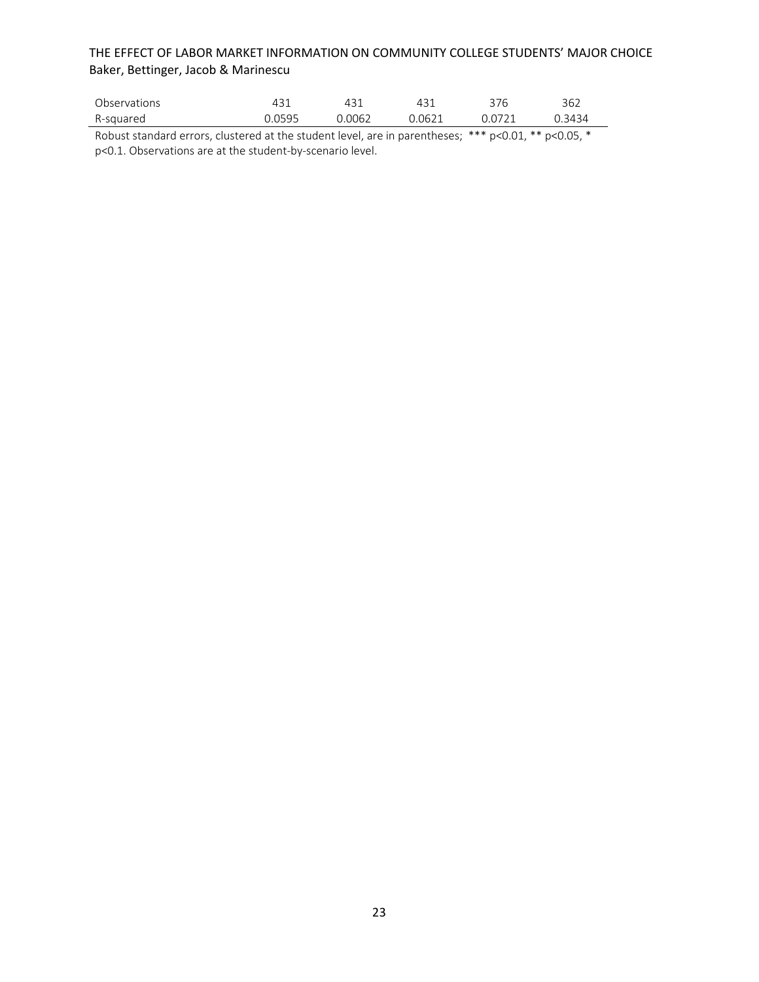| Observations |        |        |        | 376    | 362  |
|--------------|--------|--------|--------|--------|------|
| R-sauared    | ገ በ595 | 0.0062 | ገ በ621 | ገ በ721 | 3434 |

Robust standard errors, clustered at the student level, are in parentheses; \*\*\* p<0.01, \*\* p<0.05, \* p<0.1. Observations are at the student‐by‐scenario level.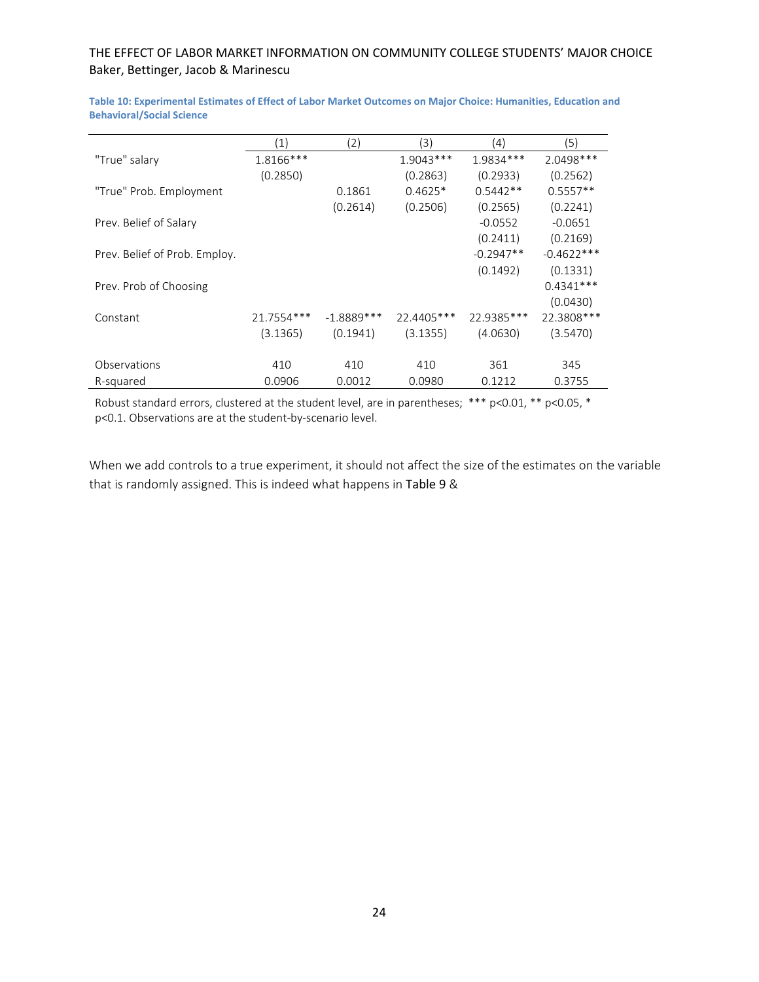|                               | $\left( 1\right)$ | (2)          | (3)         | (4)         | ์5)           |
|-------------------------------|-------------------|--------------|-------------|-------------|---------------|
| "True" salary                 | 1.8166***         |              | $1.9043***$ | 1.9834 ***  | 2.0498 ***    |
|                               | (0.2850)          |              | (0.2863)    | (0.2933)    | (0.2562)      |
| "True" Prob. Employment       |                   | 0.1861       | $0.4625*$   | $0.5442**$  | $0.5557**$    |
|                               |                   | (0.2614)     | (0.2506)    | (0.2565)    | (0.2241)      |
| Prev. Belief of Salary        |                   |              |             | $-0.0552$   | $-0.0651$     |
|                               |                   |              |             | (0.2411)    | (0.2169)      |
| Prev. Belief of Prob. Employ. |                   |              |             | $-0.2947**$ | $-0.4622$ *** |
|                               |                   |              |             | (0.1492)    | (0.1331)      |
| Prev. Prob of Choosing        |                   |              |             |             | $0.4341***$   |
|                               |                   |              |             |             | (0.0430)      |
| Constant                      | 21.7554 ***       | $-1.8889***$ | 22.4405***  | 22.9385 *** | 22.3808 ***   |
|                               | (3.1365)          | (0.1941)     | (3.1355)    | (4.0630)    | (3.5470)      |
|                               |                   |              |             |             |               |
| Observations                  | 410               | 410          | 410         | 361         | 345           |
| R-squared                     | 0.0906            | 0.0012       | 0.0980      | 0.1212      | 0.3755        |

**Table 10: Experimental Estimates of Effect of Labor Market Outcomes on Major Choice: Humanities, Education and Behavioral/Social Science**

Robust standard errors, clustered at the student level, are in parentheses; \*\*\* p<0.01, \*\* p<0.05, \* p<0.1. Observations are at the student‐by‐scenario level.

When we add controls to a true experiment, it should not affect the size of the estimates on the variable that is randomly assigned. This is indeed what happens in Table 9 &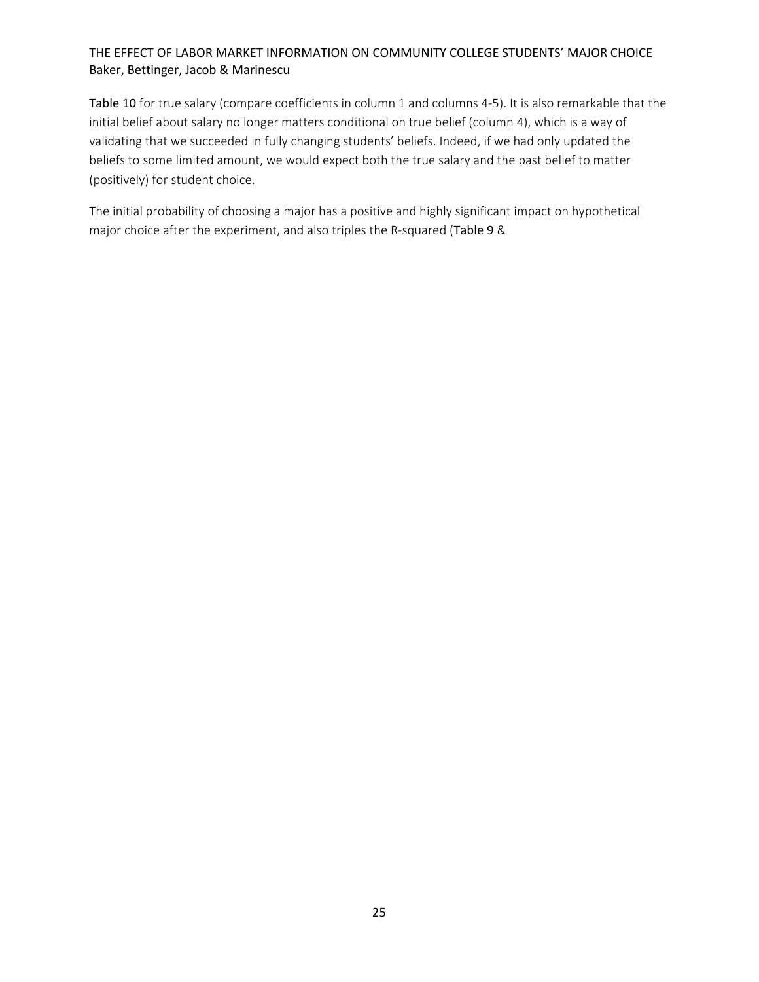Table 10 for true salary (compare coefficients in column 1 and columns 4‐5). It is also remarkable that the initial belief about salary no longer matters conditional on true belief (column 4), which is a way of validating that we succeeded in fully changing students' beliefs. Indeed, if we had only updated the beliefs to some limited amount, we would expect both the true salary and the past belief to matter (positively) for student choice.

The initial probability of choosing a major has a positive and highly significant impact on hypothetical major choice after the experiment, and also triples the R-squared (Table 9 &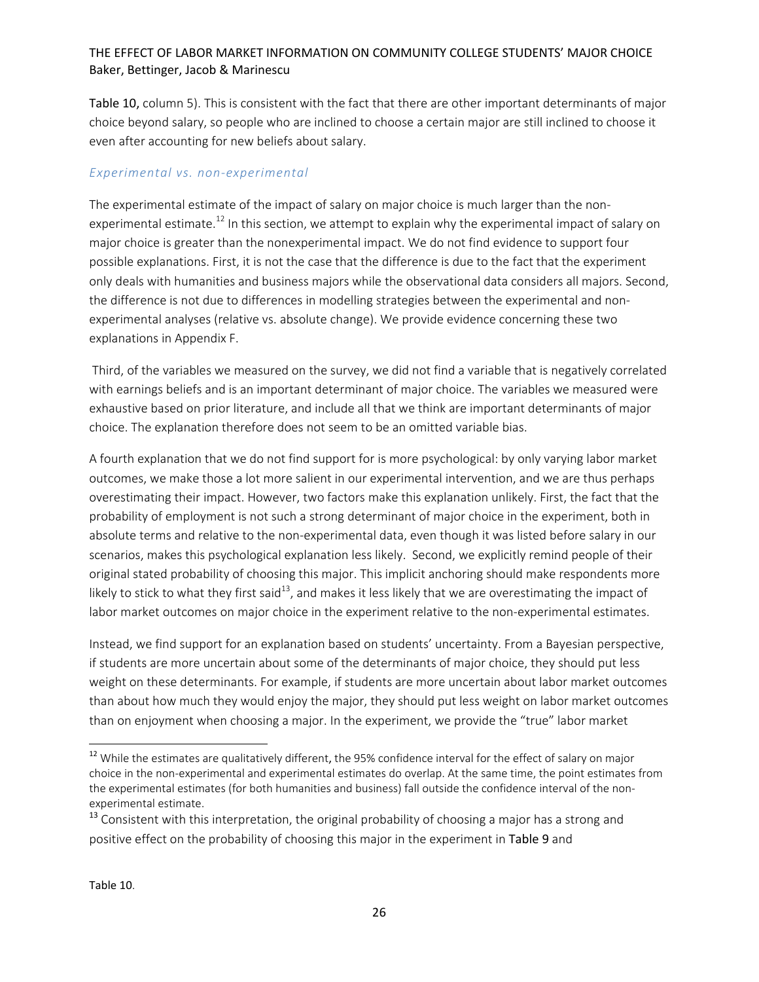Table 10, column 5). This is consistent with the fact that there are other important determinants of major choice beyond salary, so people who are inclined to choose a certain major are still inclined to choose it even after accounting for new beliefs about salary.

#### *Experimental vs. non‐experimental*

The experimental estimate of the impact of salary on major choice is much larger than the non‐ experimental estimate.<sup>12</sup> In this section, we attempt to explain why the experimental impact of salary on major choice is greater than the nonexperimental impact. We do not find evidence to support four possible explanations. First, it is not the case that the difference is due to the fact that the experiment only deals with humanities and business majors while the observational data considers all majors. Second, the difference is not due to differences in modelling strategies between the experimental and non‐ experimental analyses (relative vs. absolute change). We provide evidence concerning these two explanations in Appendix F.

Third, of the variables we measured on the survey, we did not find a variable that is negatively correlated with earnings beliefs and is an important determinant of major choice. The variables we measured were exhaustive based on prior literature, and include all that we think are important determinants of major choice. The explanation therefore does not seem to be an omitted variable bias.

A fourth explanation that we do not find support for is more psychological: by only varying labor market outcomes, we make those a lot more salient in our experimental intervention, and we are thus perhaps overestimating their impact. However, two factors make this explanation unlikely. First, the fact that the probability of employment is not such a strong determinant of major choice in the experiment, both in absolute terms and relative to the non‐experimental data, even though it was listed before salary in our scenarios, makes this psychological explanation less likely. Second, we explicitly remind people of their original stated probability of choosing this major. This implicit anchoring should make respondents more likely to stick to what they first said<sup>13</sup>, and makes it less likely that we are overestimating the impact of labor market outcomes on major choice in the experiment relative to the non-experimental estimates.

Instead, we find support for an explanation based on students' uncertainty. From a Bayesian perspective, if students are more uncertain about some of the determinants of major choice, they should put less weight on these determinants. For example, if students are more uncertain about labor market outcomes than about how much they would enjoy the major, they should put less weight on labor market outcomes than on enjoyment when choosing a major. In the experiment, we provide the "true" labor market

<sup>&</sup>lt;sup>12</sup> While the estimates are qualitatively different, the 95% confidence interval for the effect of salary on major choice in the non‐experimental and experimental estimates do overlap. At the same time, the point estimates from the experimental estimates (for both humanities and business) fall outside the confidence interval of the non‐ experimental estimate.

<sup>&</sup>lt;sup>13</sup> Consistent with this interpretation, the original probability of choosing a major has a strong and positive effect on the probability of choosing this major in the experiment in Table 9 and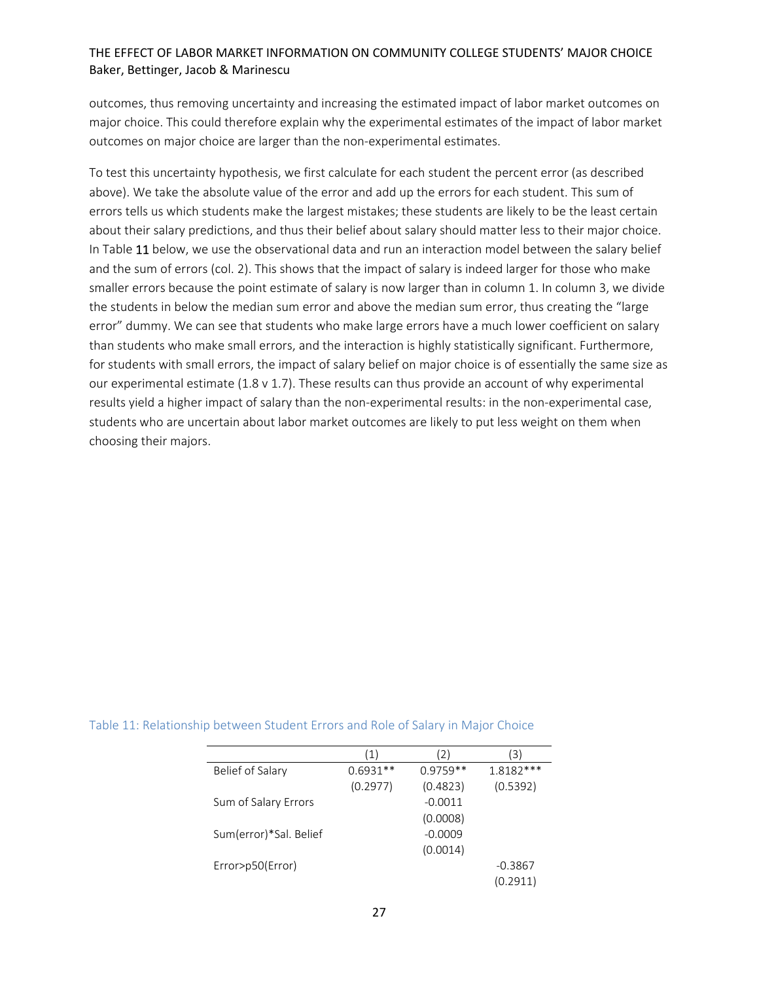outcomes, thus removing uncertainty and increasing the estimated impact of labor market outcomes on major choice. This could therefore explain why the experimental estimates of the impact of labor market outcomes on major choice are larger than the non-experimental estimates.

To test this uncertainty hypothesis, we first calculate for each student the percent error (as described above). We take the absolute value of the error and add up the errors for each student. This sum of errors tells us which students make the largest mistakes; these students are likely to be the least certain about their salary predictions, and thus their belief about salary should matter less to their major choice. In Table 11 below, we use the observational data and run an interaction model between the salary belief and the sum of errors (col. 2). This shows that the impact of salary is indeed larger for those who make smaller errors because the point estimate of salary is now larger than in column 1. In column 3, we divide the students in below the median sum error and above the median sum error, thus creating the "large error" dummy. We can see that students who make large errors have a much lower coefficient on salary than students who make small errors, and the interaction is highly statistically significant. Furthermore, for students with small errors, the impact of salary belief on major choice is of essentially the same size as our experimental estimate (1.8 v 1.7). These results can thus provide an account of why experimental results yield a higher impact of salary than the non‐experimental results: in the non‐experimental case, students who are uncertain about labor market outcomes are likely to put less weight on them when choosing their majors.

|                        | $\mathbf{1}$ | 2)         | 31          |
|------------------------|--------------|------------|-------------|
| Belief of Salary       | $0.6931**$   | $0.9759**$ | $1.8182***$ |
|                        | (0.2977)     | (0.4823)   | (0.5392)    |
| Sum of Salary Errors   |              | $-0.0011$  |             |
|                        |              | (0.0008)   |             |
| Sum(error)*Sal. Belief |              | $-0.0009$  |             |
|                        |              | (0.0014)   |             |
| Error>p50(Error)       |              |            | $-0.3867$   |
|                        |              |            | (0.2911)    |

#### Table 11: Relationship between Student Errors and Role of Salary in Major Choice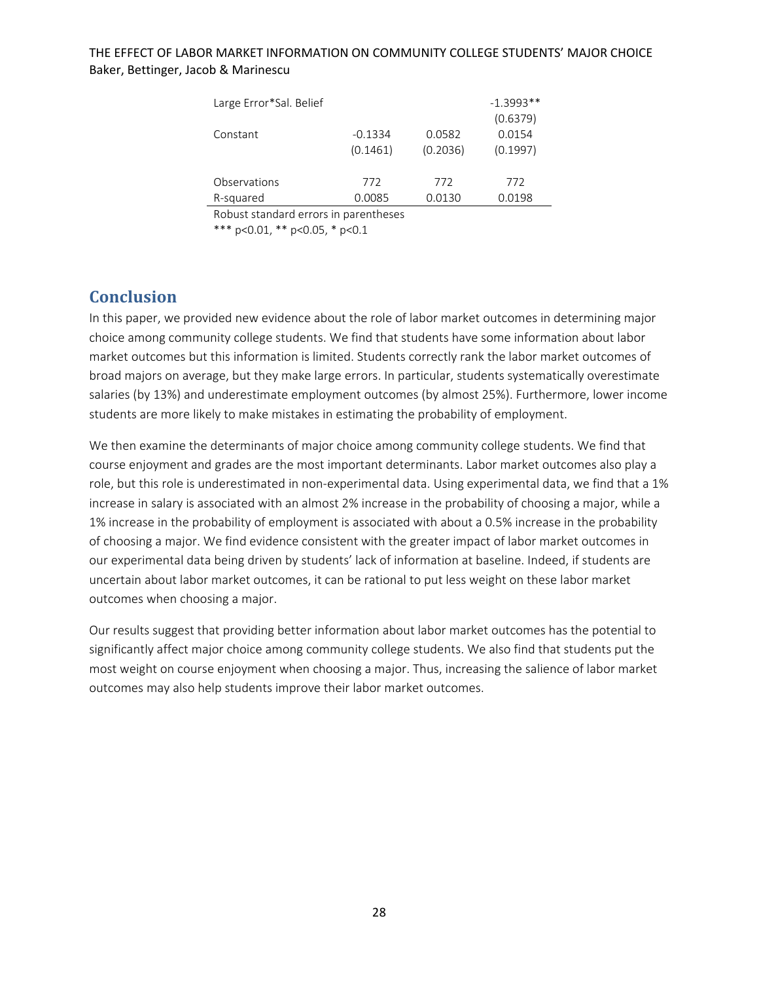| Large Error*Sal. Belief |           |          | $-1.3993**$ |
|-------------------------|-----------|----------|-------------|
|                         |           |          | (0.6379)    |
| Constant                | $-0.1334$ | 0.0582   | 0.0154      |
|                         | (0.1461)  | (0.2036) | (0.1997)    |
|                         |           |          |             |
| Observations            | 772       | 772      | 772         |
| R-squared               | 0.0085    | 0.0130   | 0.0198      |

Robust standard errors in parentheses

\*\*\* p<0.01, \*\* p<0.05, \* p<0.1

# **Conclusion**

In this paper, we provided new evidence about the role of labor market outcomes in determining major choice among community college students. We find that students have some information about labor market outcomes but this information is limited. Students correctly rank the labor market outcomes of broad majors on average, but they make large errors. In particular, students systematically overestimate salaries (by 13%) and underestimate employment outcomes (by almost 25%). Furthermore, lower income students are more likely to make mistakes in estimating the probability of employment.

We then examine the determinants of major choice among community college students. We find that course enjoyment and grades are the most important determinants. Labor market outcomes also play a role, but this role is underestimated in non-experimental data. Using experimental data, we find that a 1% increase in salary is associated with an almost 2% increase in the probability of choosing a major, while a 1% increase in the probability of employment is associated with about a 0.5% increase in the probability of choosing a major. We find evidence consistent with the greater impact of labor market outcomes in our experimental data being driven by students' lack of information at baseline. Indeed, if students are uncertain about labor market outcomes, it can be rational to put less weight on these labor market outcomes when choosing a major.

Our results suggest that providing better information about labor market outcomes has the potential to significantly affect major choice among community college students. We also find that students put the most weight on course enjoyment when choosing a major. Thus, increasing the salience of labor market outcomes may also help students improve their labor market outcomes.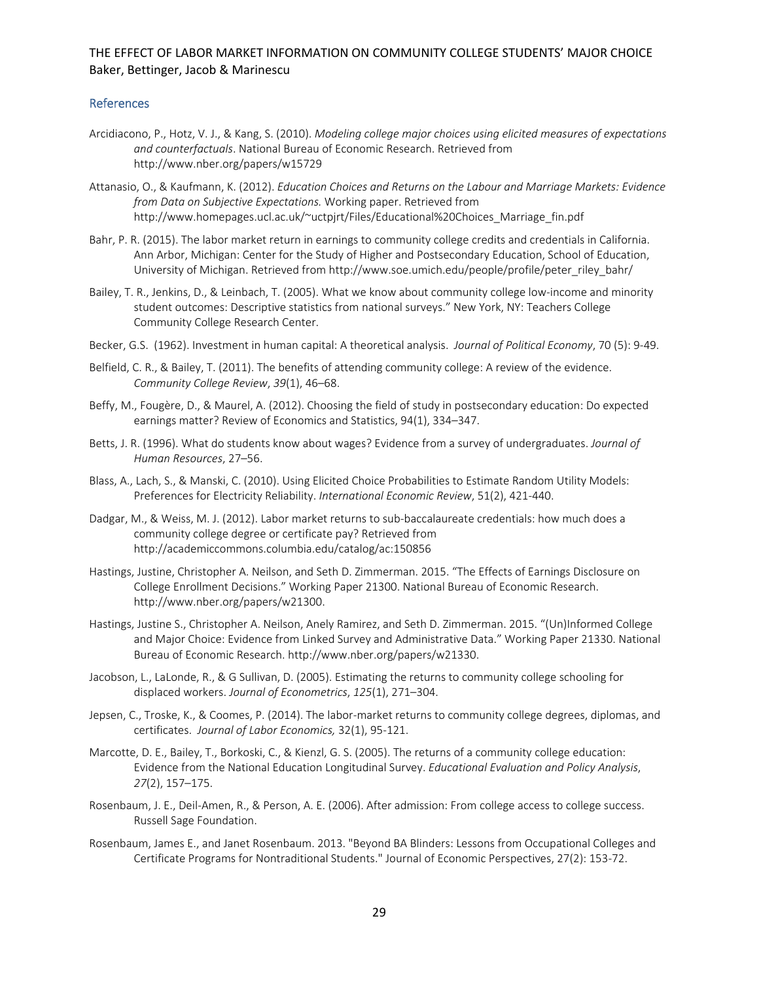#### References

- Arcidiacono, P., Hotz, V. J., & Kang, S. (2010). *Modeling college major choices using elicited measures of expectations and counterfactuals*. National Bureau of Economic Research. Retrieved from http://www.nber.org/papers/w15729
- Attanasio, O., & Kaufmann, K. (2012). *Education Choices and Returns on the Labour and Marriage Markets: Evidence from Data on Subjective Expectations.* Working paper. Retrieved from http://www.homepages.ucl.ac.uk/~uctpjrt/Files/Educational%20Choices\_Marriage\_fin.pdf
- Bahr, P. R. (2015). The labor market return in earnings to community college credits and credentials in California. Ann Arbor, Michigan: Center for the Study of Higher and Postsecondary Education, School of Education, University of Michigan. Retrieved from http://www.soe.umich.edu/people/profile/peter\_riley\_bahr/
- Bailey, T. R., Jenkins, D., & Leinbach, T. (2005). What we know about community college low‐income and minority student outcomes: Descriptive statistics from national surveys." New York, NY: Teachers College Community College Research Center.
- Becker, G.S. (1962). Investment in human capital: A theoretical analysis. *Journal of Political Economy*, 70 (5): 9‐49.
- Belfield, C. R., & Bailey, T. (2011). The benefits of attending community college: A review of the evidence. *Community College Review*, *39*(1), 46–68.
- Beffy, M., Fougère, D., & Maurel, A. (2012). Choosing the field of study in postsecondary education: Do expected earnings matter? Review of Economics and Statistics, 94(1), 334–347.
- Betts, J. R. (1996). What do students know about wages? Evidence from a survey of undergraduates. *Journal of Human Resources*, 27–56.
- Blass, A., Lach, S., & Manski, C. (2010). Using Elicited Choice Probabilities to Estimate Random Utility Models: Preferences for Electricity Reliability. *International Economic Review*, 51(2), 421‐440.
- Dadgar, M., & Weiss, M. J. (2012). Labor market returns to sub-baccalaureate credentials: how much does a community college degree or certificate pay? Retrieved from http://academiccommons.columbia.edu/catalog/ac:150856
- Hastings, Justine, Christopher A. Neilson, and Seth D. Zimmerman. 2015. "The Effects of Earnings Disclosure on College Enrollment Decisions." Working Paper 21300. National Bureau of Economic Research. http://www.nber.org/papers/w21300.
- Hastings, Justine S., Christopher A. Neilson, Anely Ramirez, and Seth D. Zimmerman. 2015. "(Un)Informed College and Major Choice: Evidence from Linked Survey and Administrative Data." Working Paper 21330. National Bureau of Economic Research. http://www.nber.org/papers/w21330.
- Jacobson, L., LaLonde, R., & G Sullivan, D. (2005). Estimating the returns to community college schooling for displaced workers. *Journal of Econometrics*, *125*(1), 271–304.
- Jepsen, C., Troske, K., & Coomes, P. (2014). The labor-market returns to community college degrees, diplomas, and certificates. *Journal of Labor Economics,* 32(1), 95‐121.
- Marcotte, D. E., Bailey, T., Borkoski, C., & Kienzl, G. S. (2005). The returns of a community college education: Evidence from the National Education Longitudinal Survey. *Educational Evaluation and Policy Analysis*, *27*(2), 157–175.
- Rosenbaum, J. E., Deil‐Amen, R., & Person, A. E. (2006). After admission: From college access to college success. Russell Sage Foundation.
- Rosenbaum, James E., and Janet Rosenbaum. 2013. "Beyond BA Blinders: Lessons from Occupational Colleges and Certificate Programs for Nontraditional Students." Journal of Economic Perspectives, 27(2): 153‐72.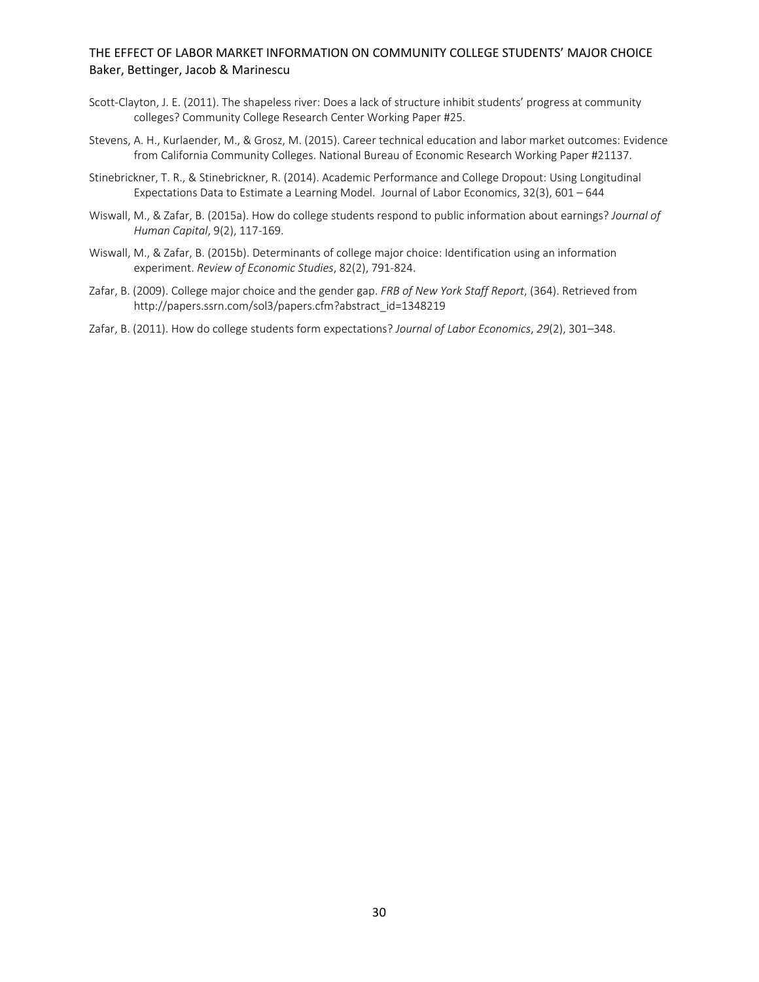- Scott-Clayton, J. E. (2011). The shapeless river: Does a lack of structure inhibit students' progress at community colleges? Community College Research Center Working Paper #25.
- Stevens, A. H., Kurlaender, M., & Grosz, M. (2015). Career technical education and labor market outcomes: Evidence from California Community Colleges. National Bureau of Economic Research Working Paper #21137.
- Stinebrickner, T. R., & Stinebrickner, R. (2014). Academic Performance and College Dropout: Using Longitudinal Expectations Data to Estimate a Learning Model. Journal of Labor Economics, 32(3), 601 – 644
- Wiswall, M., & Zafar, B. (2015a). How do college students respond to public information about earnings? *Journal of Human Capital*, 9(2), 117‐169.
- Wiswall, M., & Zafar, B. (2015b). Determinants of college major choice: Identification using an information experiment. *Review of Economic Studies*, 82(2), 791‐824.
- Zafar, B. (2009). College major choice and the gender gap. *FRB of New York Staff Report*, (364). Retrieved from http://papers.ssrn.com/sol3/papers.cfm?abstract\_id=1348219
- Zafar, B. (2011). How do college students form expectations? *Journal of Labor Economics*, *29*(2), 301–348.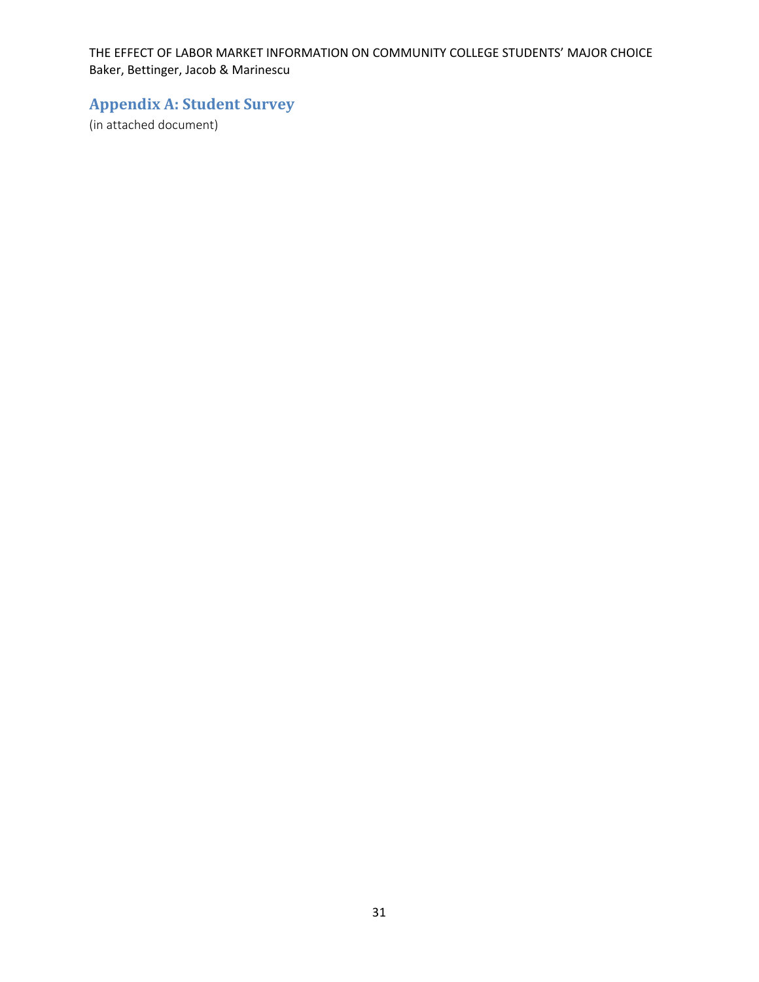# **Appendix A: Student Survey**

(in attached document)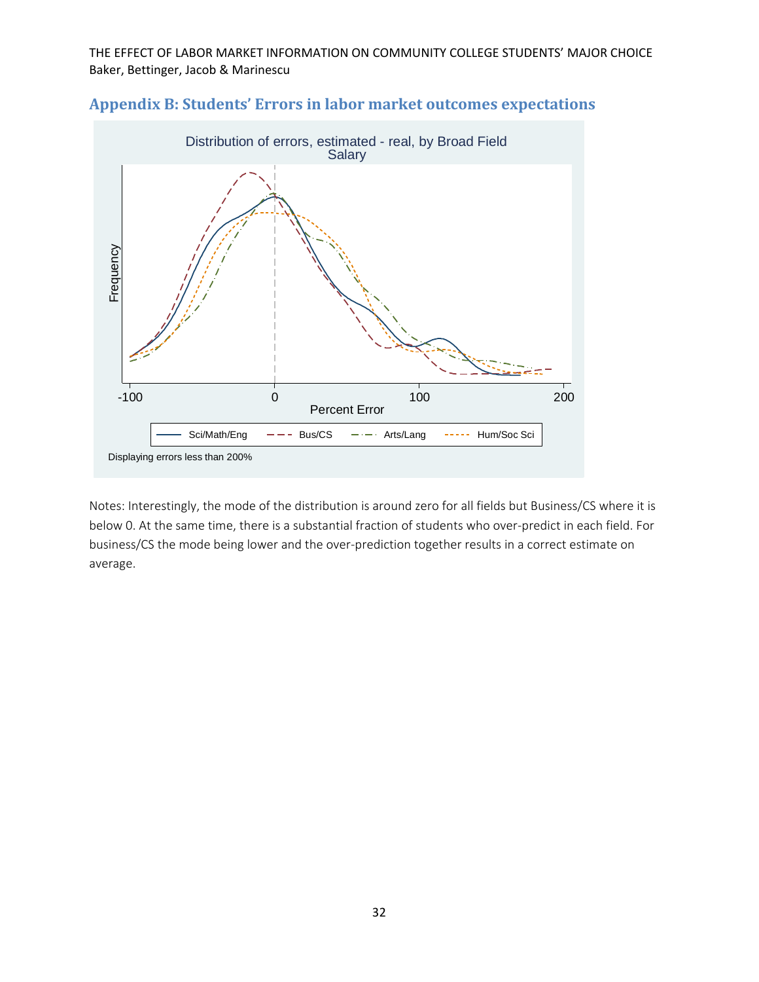

-100 0 100 200 Percent Error

Displaying errors less than 200%

Sci/Math/Eng  $-\text{--}$  Bus/CS  $-\text{--}$  Arts/Lang  $\text{---}$  Hum/Soc Sci

# **Appendix B: Students' Errors in labor market outcomes expectations**

Notes: Interestingly, the mode of the distribution is around zero for all fields but Business/CS where it is below 0. At the same time, there is a substantial fraction of students who over-predict in each field. For business/CS the mode being lower and the over‐prediction together results in a correct estimate on average.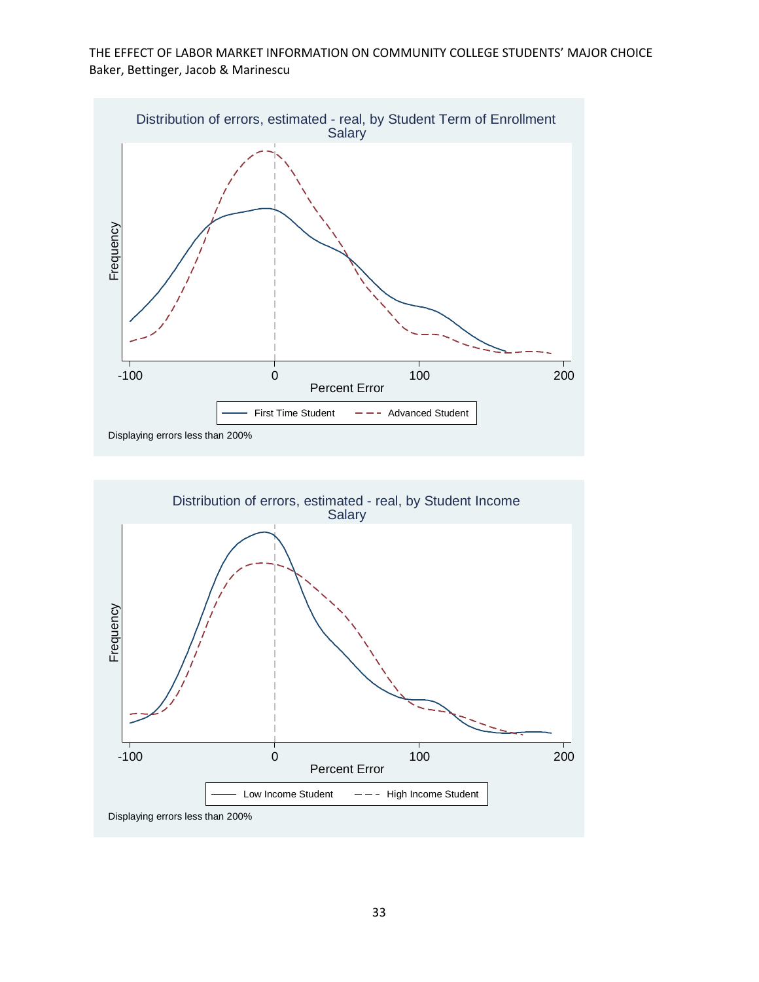

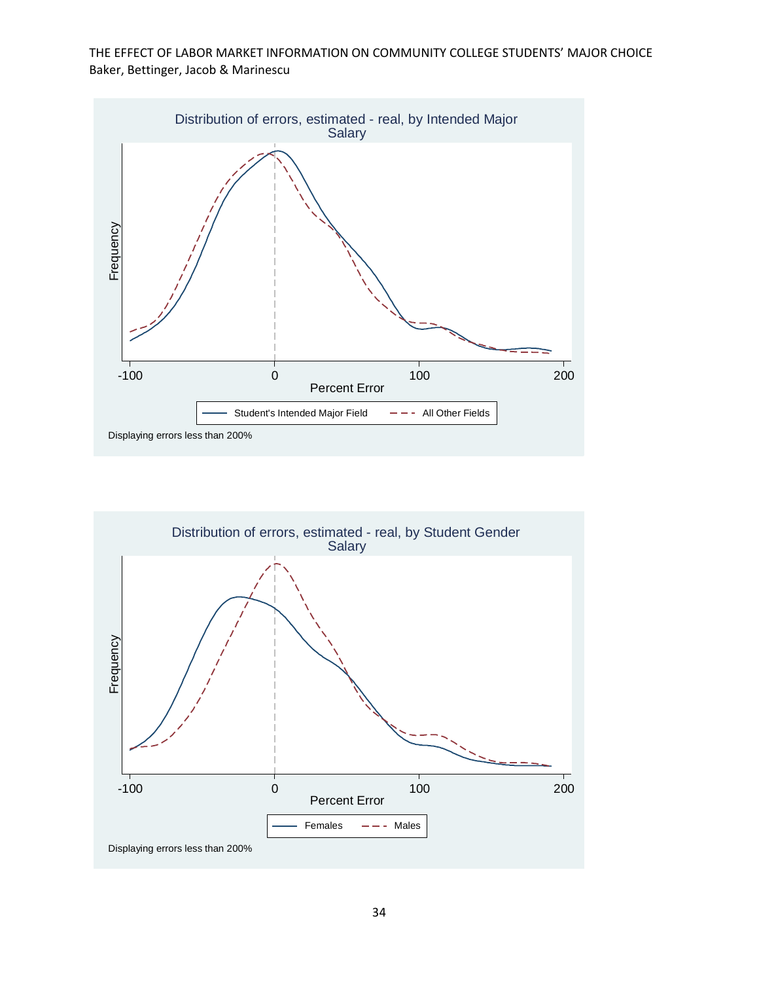

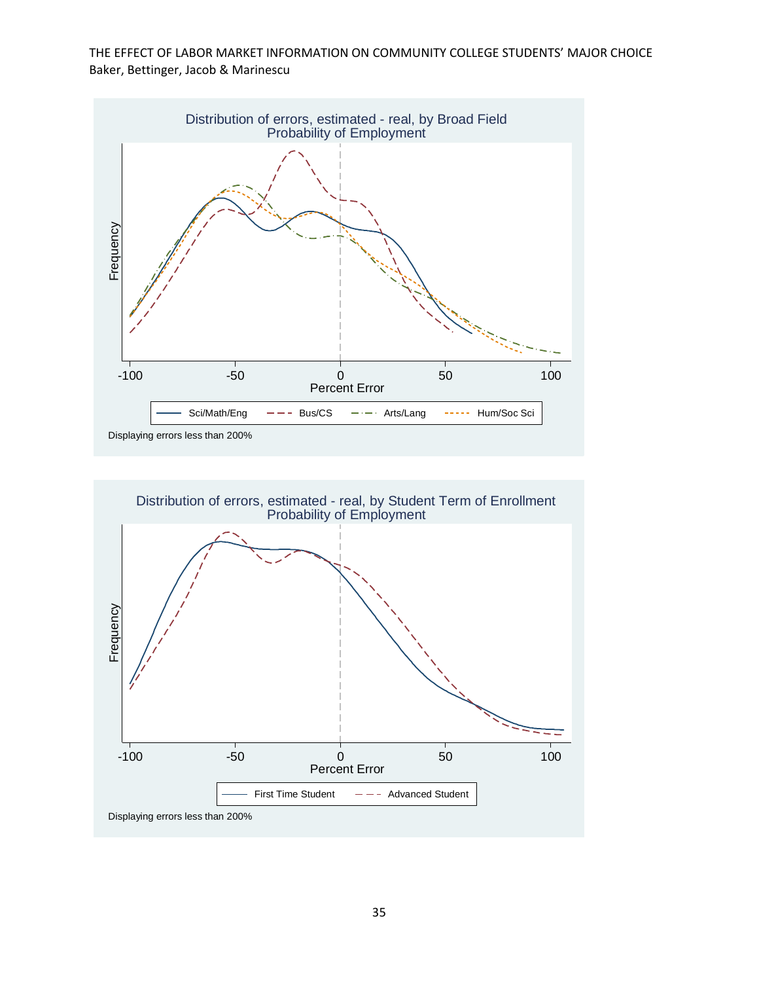

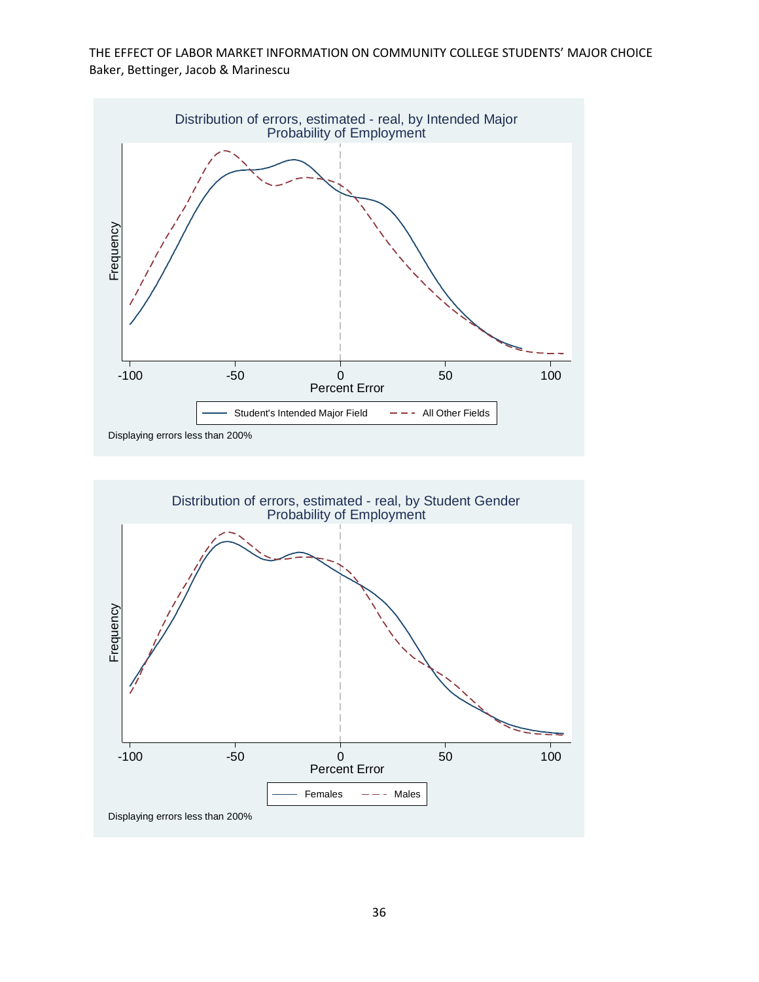

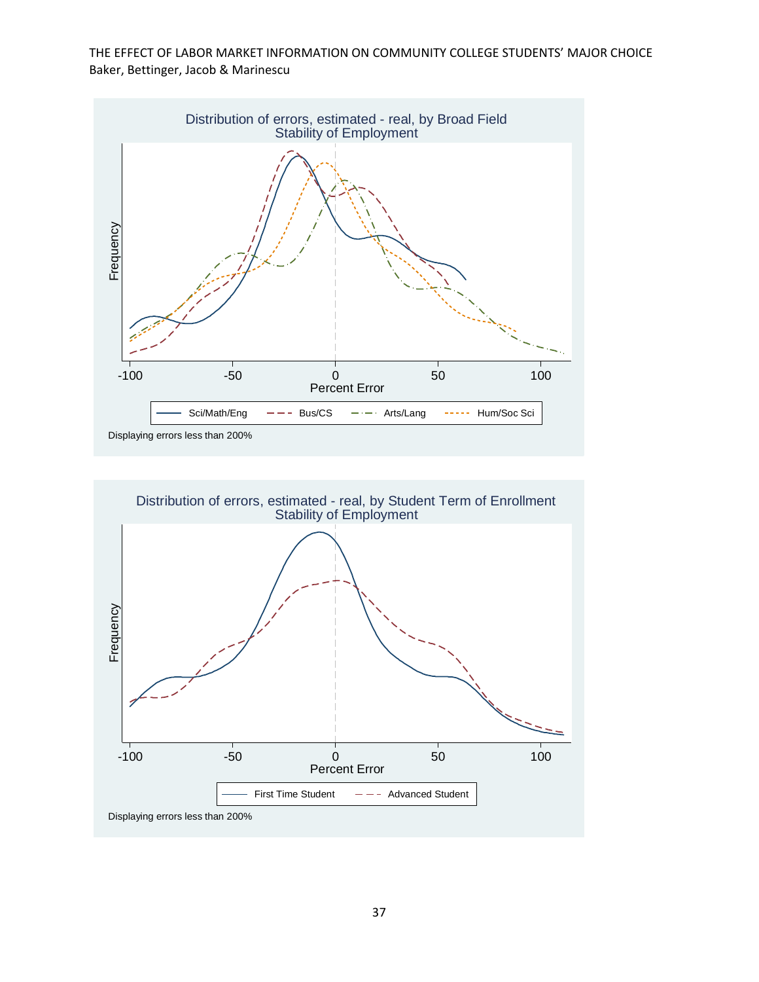

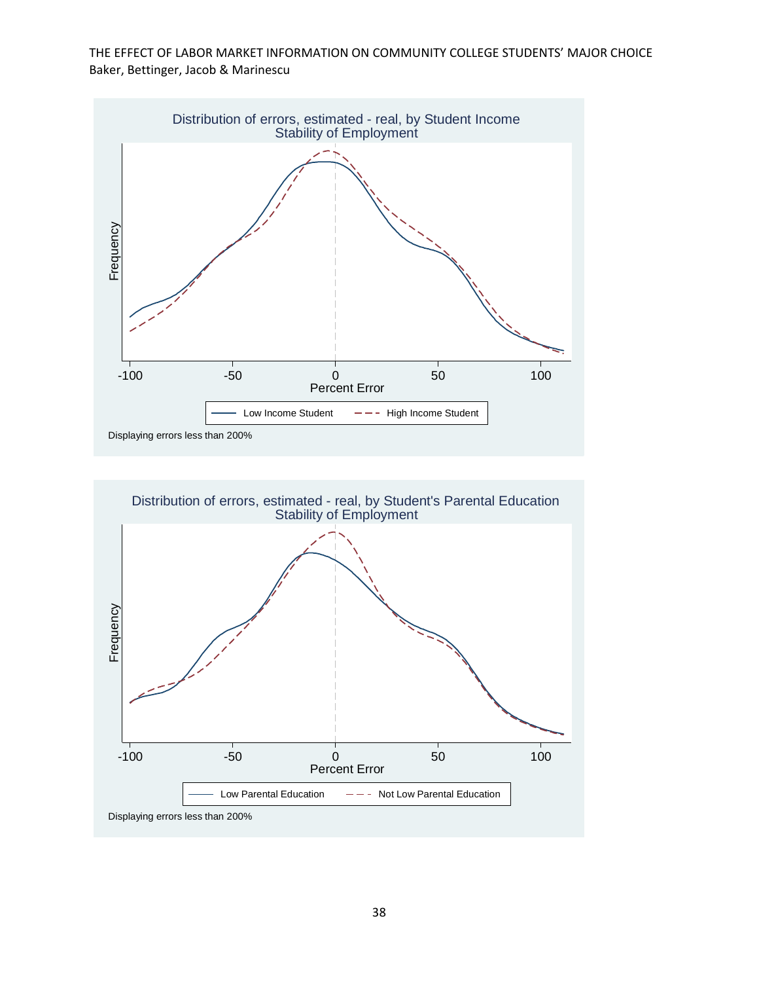

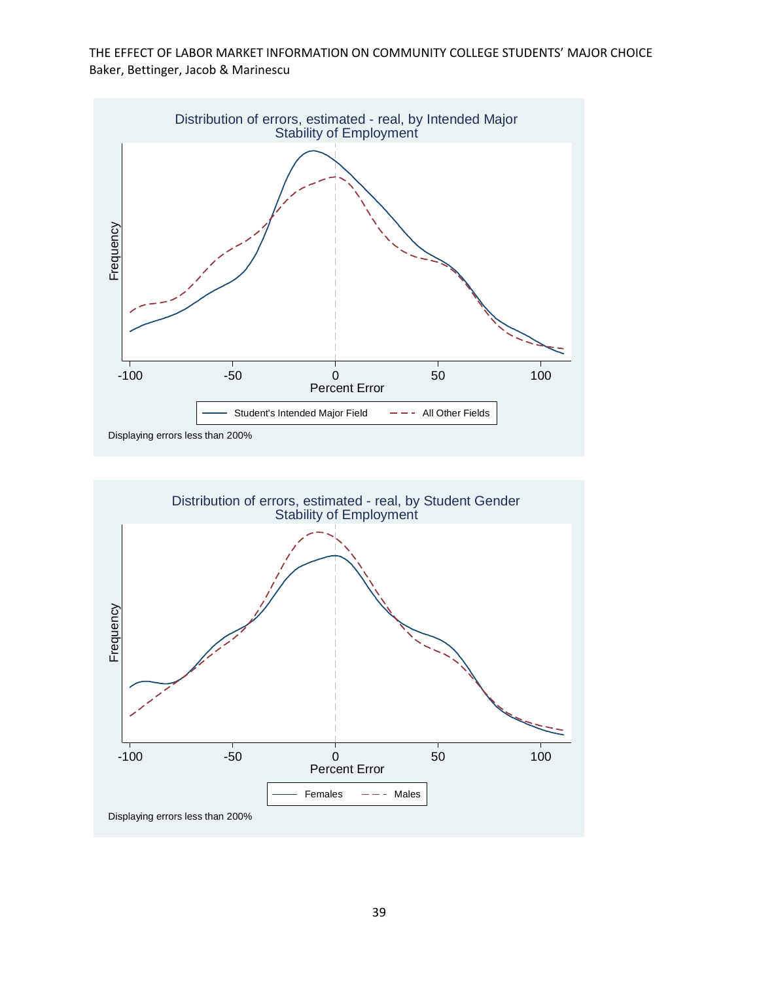

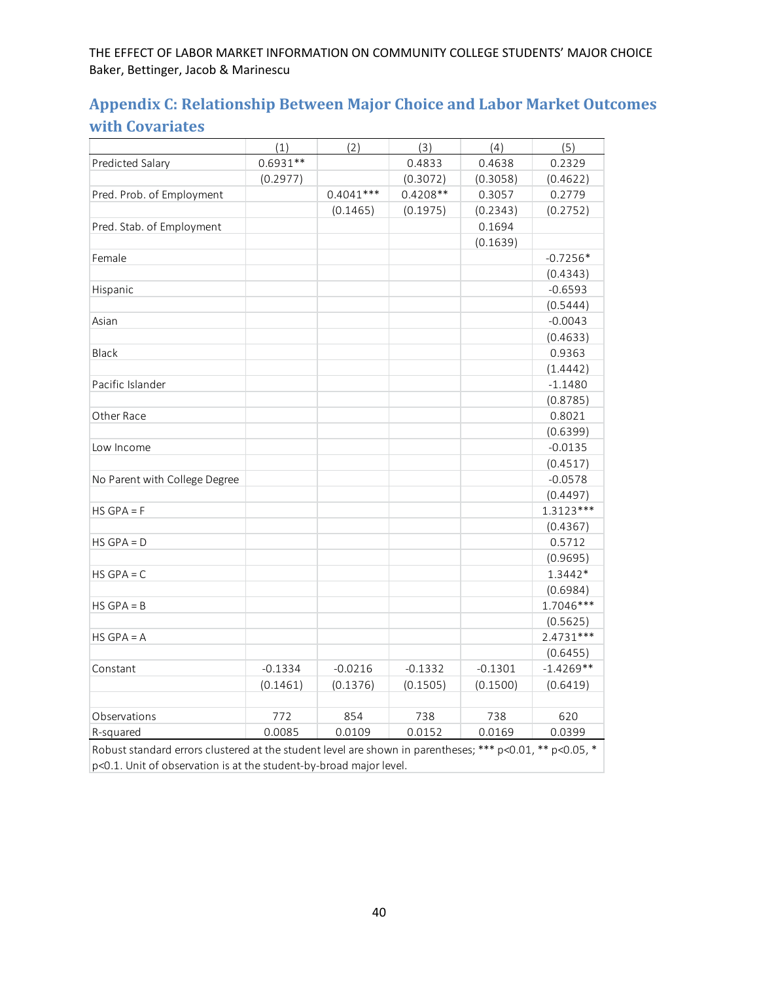# **Appendix C: Relationship Between Major Choice and Labor Market Outcomes with Covariates**

|                                                                                                             | (1)        | (2)         | (3)        | (4)       | (5)         |
|-------------------------------------------------------------------------------------------------------------|------------|-------------|------------|-----------|-------------|
| Predicted Salary                                                                                            | $0.6931**$ |             | 0.4833     | 0.4638    | 0.2329      |
|                                                                                                             | (0.2977)   |             | (0.3072)   | (0.3058)  | (0.4622)    |
| Pred. Prob. of Employment                                                                                   |            | $0.4041***$ | $0.4208**$ | 0.3057    | 0.2779      |
|                                                                                                             |            | (0.1465)    | (0.1975)   | (0.2343)  | (0.2752)    |
| Pred. Stab. of Employment                                                                                   |            |             |            | 0.1694    |             |
|                                                                                                             |            |             |            | (0.1639)  |             |
| Female                                                                                                      |            |             |            |           | $-0.7256*$  |
|                                                                                                             |            |             |            |           | (0.4343)    |
| Hispanic                                                                                                    |            |             |            |           | $-0.6593$   |
|                                                                                                             |            |             |            |           | (0.5444)    |
| Asian                                                                                                       |            |             |            |           | $-0.0043$   |
|                                                                                                             |            |             |            |           | (0.4633)    |
| Black                                                                                                       |            |             |            |           | 0.9363      |
|                                                                                                             |            |             |            |           | (1.4442)    |
| Pacific Islander                                                                                            |            |             |            |           | $-1.1480$   |
|                                                                                                             |            |             |            |           | (0.8785)    |
| Other Race                                                                                                  |            |             |            |           | 0.8021      |
|                                                                                                             |            |             |            |           | (0.6399)    |
| Low Income                                                                                                  |            |             |            |           | $-0.0135$   |
|                                                                                                             |            |             |            |           | (0.4517)    |
| No Parent with College Degree                                                                               |            |             |            |           | $-0.0578$   |
|                                                                                                             |            |             |            |           | (0.4497)    |
| $HS$ GPA = F                                                                                                |            |             |            |           | $1.3123***$ |
|                                                                                                             |            |             |            |           | (0.4367)    |
| $HS$ GPA = D                                                                                                |            |             |            |           | 0.5712      |
|                                                                                                             |            |             |            |           | (0.9695)    |
| $HS$ GPA = C                                                                                                |            |             |            |           | 1.3442*     |
|                                                                                                             |            |             |            |           | (0.6984)    |
| $HS$ GPA = B                                                                                                |            |             |            |           | 1.7046***   |
|                                                                                                             |            |             |            |           | (0.5625)    |
| $HS$ GPA = A                                                                                                |            |             |            |           | $2.4731***$ |
|                                                                                                             |            |             |            |           | (0.6455)    |
| Constant                                                                                                    | $-0.1334$  | $-0.0216$   | $-0.1332$  | $-0.1301$ | $-1.4269**$ |
|                                                                                                             | (0.1461)   | (0.1376)    | (0.1505)   | (0.1500)  | (0.6419)    |
|                                                                                                             |            |             |            |           |             |
| Observations                                                                                                | 772        | 854         | 738        | 738       | 620         |
| R-squared                                                                                                   | 0.0085     | 0.0109      | 0.0152     | 0.0169    | 0.0399      |
| Behust standard arrare olustared at the student laugh are should in paraptheses. *** p $0.01$ ** p $0.05$ * |            |             |            |           |             |

Robust standard errors clustered at the student level are shown in parentheses; \*\*\* p<0.01, \*\* p<0.05, p<0.1. Unit of observation is at the student‐by‐broad major level.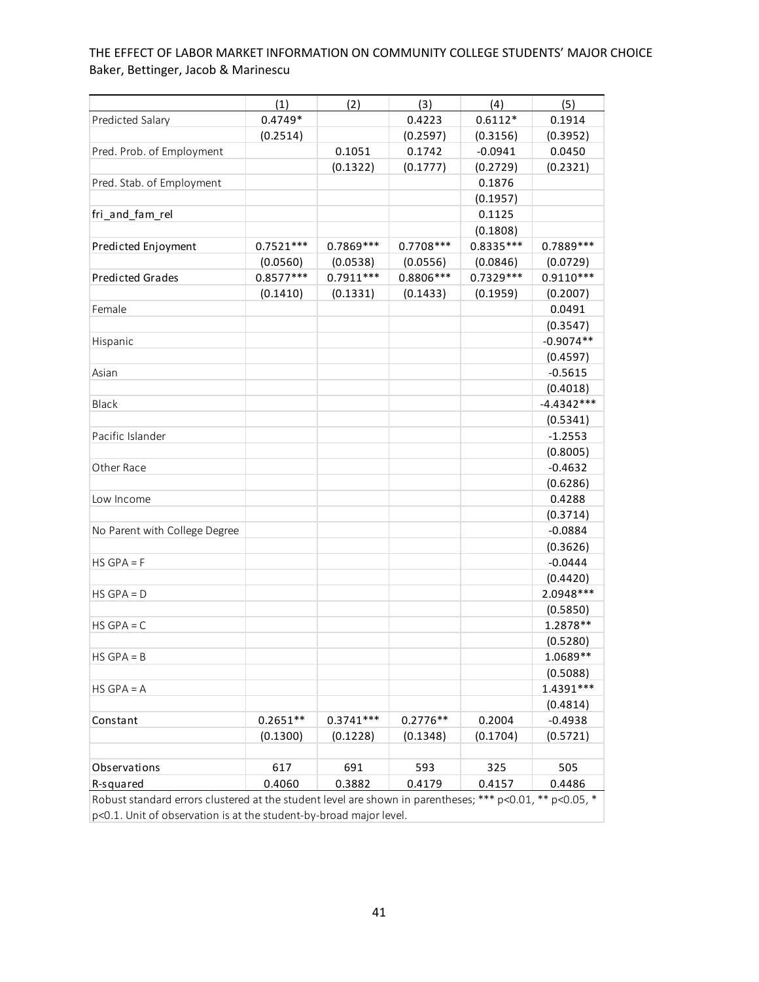|                                                                                                          | (1)         | (2)         | (3)         | (4)         | (5)          |  |  |
|----------------------------------------------------------------------------------------------------------|-------------|-------------|-------------|-------------|--------------|--|--|
| Predicted Salary                                                                                         | $0.4749*$   |             | 0.4223      | $0.6112*$   | 0.1914       |  |  |
|                                                                                                          | (0.2514)    |             | (0.2597)    | (0.3156)    | (0.3952)     |  |  |
| Pred. Prob. of Employment                                                                                |             | 0.1051      | 0.1742      | $-0.0941$   | 0.0450       |  |  |
|                                                                                                          |             | (0.1322)    | (0.1777)    | (0.2729)    | (0.2321)     |  |  |
| Pred. Stab. of Employment                                                                                |             |             |             | 0.1876      |              |  |  |
|                                                                                                          |             |             |             | (0.1957)    |              |  |  |
| fri and fam rel                                                                                          |             |             |             | 0.1125      |              |  |  |
|                                                                                                          |             |             |             | (0.1808)    |              |  |  |
| Predicted Enjoyment                                                                                      | $0.7521***$ | $0.7869***$ | $0.7708***$ | $0.8335***$ | 0.7889 ***   |  |  |
|                                                                                                          | (0.0560)    | (0.0538)    | (0.0556)    | (0.0846)    | (0.0729)     |  |  |
| <b>Predicted Grades</b>                                                                                  | $0.8577***$ | $0.7911***$ | 0.8806 ***  | $0.7329***$ | $0.9110***$  |  |  |
|                                                                                                          | (0.1410)    | (0.1331)    | (0.1433)    | (0.1959)    | (0.2007)     |  |  |
| Female                                                                                                   |             |             |             |             | 0.0491       |  |  |
|                                                                                                          |             |             |             |             | (0.3547)     |  |  |
| Hispanic                                                                                                 |             |             |             |             | $-0.9074**$  |  |  |
|                                                                                                          |             |             |             |             | (0.4597)     |  |  |
| Asian                                                                                                    |             |             |             |             | $-0.5615$    |  |  |
|                                                                                                          |             |             |             |             | (0.4018)     |  |  |
| Black                                                                                                    |             |             |             |             | $-4.4342***$ |  |  |
|                                                                                                          |             |             |             |             | (0.5341)     |  |  |
| Pacific Islander                                                                                         |             |             |             |             | $-1.2553$    |  |  |
|                                                                                                          |             |             |             |             | (0.8005)     |  |  |
| Other Race                                                                                               |             |             |             |             | $-0.4632$    |  |  |
|                                                                                                          |             |             |             |             | (0.6286)     |  |  |
| Low Income                                                                                               |             |             |             |             | 0.4288       |  |  |
|                                                                                                          |             |             |             |             | (0.3714)     |  |  |
| No Parent with College Degree                                                                            |             |             |             |             | $-0.0884$    |  |  |
|                                                                                                          |             |             |             |             | (0.3626)     |  |  |
| $HS$ GPA = F                                                                                             |             |             |             |             | $-0.0444$    |  |  |
|                                                                                                          |             |             |             |             | (0.4420)     |  |  |
| $HS$ GPA = D                                                                                             |             |             |             |             | 2.0948 ***   |  |  |
|                                                                                                          |             |             |             |             | (0.5850)     |  |  |
| $HS$ GPA = C                                                                                             |             |             |             |             | 1.2878 **    |  |  |
|                                                                                                          |             |             |             |             | (0.5280)     |  |  |
| $HS$ GPA = B                                                                                             |             |             |             |             | 1.0689**     |  |  |
|                                                                                                          |             |             |             |             | (0.5088)     |  |  |
| $HS$ GPA = A                                                                                             |             |             |             |             | 1.4391 ***   |  |  |
|                                                                                                          |             |             |             |             | (0.4814)     |  |  |
| Constant                                                                                                 | $0.2651**$  | $0.3741***$ | $0.2776**$  | 0.2004      | $-0.4938$    |  |  |
|                                                                                                          | (0.1300)    | (0.1228)    | (0.1348)    | (0.1704)    | (0.5721)     |  |  |
|                                                                                                          |             |             |             |             |              |  |  |
| Observations                                                                                             | 617         | 691         | 593         | 325         | 505          |  |  |
| R-squared                                                                                                | 0.4060      | 0.3882      | 0.4179      | 0.4157      | 0.4486       |  |  |
| Robust standard errors clustered at the student level are shown in parentheses; *** p<0.01, ** p<0.05, * |             |             |             |             |              |  |  |
| p<0.1. Unit of observation is at the student-by-broad major level.                                       |             |             |             |             |              |  |  |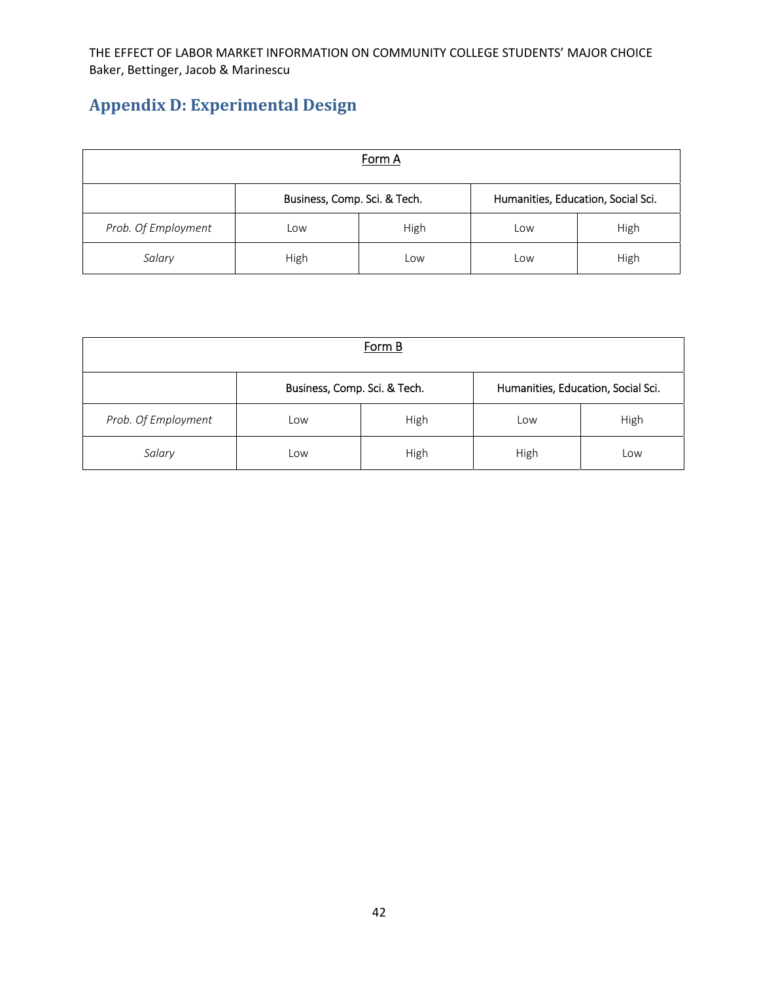# **Appendix D: Experimental Design**

| Form A              |                              |      |                                    |      |  |  |
|---------------------|------------------------------|------|------------------------------------|------|--|--|
|                     | Business, Comp. Sci. & Tech. |      | Humanities, Education, Social Sci. |      |  |  |
| Prob. Of Employment | Low                          | High | Low                                | High |  |  |
| Salary              | High                         | Low  | Low                                | High |  |  |

| Form B              |                              |      |                                    |      |  |  |  |
|---------------------|------------------------------|------|------------------------------------|------|--|--|--|
|                     | Business, Comp. Sci. & Tech. |      | Humanities, Education, Social Sci. |      |  |  |  |
| Prob. Of Employment | Low                          | High | Low                                | High |  |  |  |
| Salary              | Low                          | High | High                               | Low  |  |  |  |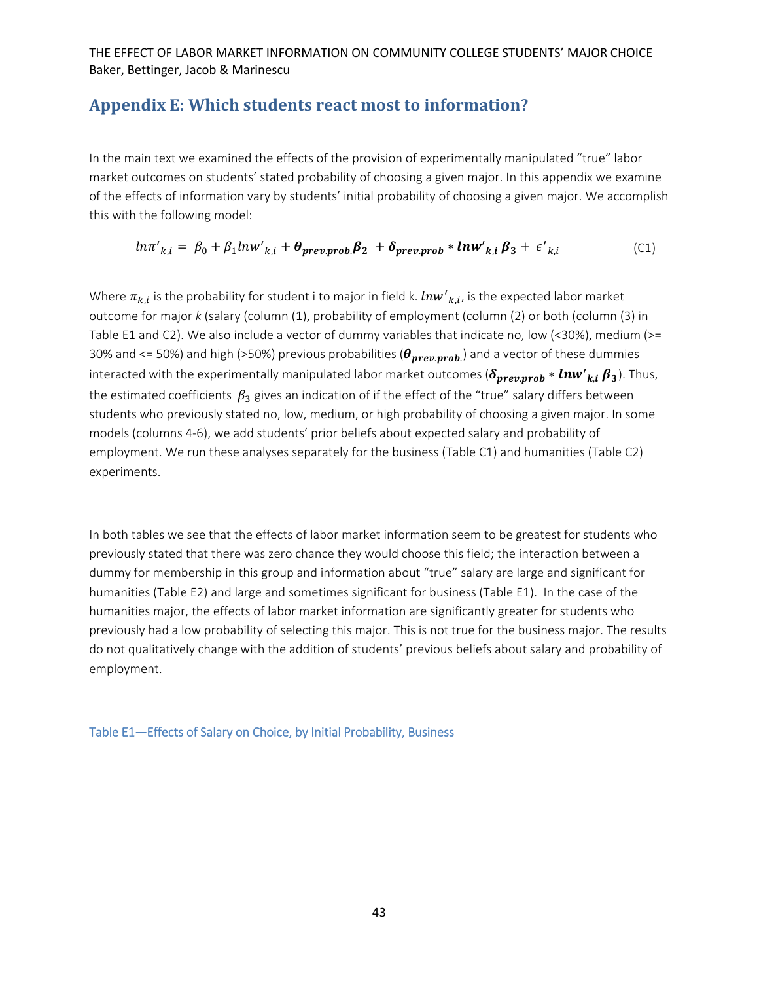# **Appendix E: Which students react most to information?**

In the main text we examined the effects of the provision of experimentally manipulated "true" labor market outcomes on students' stated probability of choosing a given major. In this appendix we examine of the effects of information vary by students' initial probability of choosing a given major. We accomplish this with the following model:

$$
ln\pi'_{k,i} = \beta_0 + \beta_1 ln w'_{k,i} + \theta_{prevprob}\beta_2 + \delta_{prevprob} * lnw'_{k,i}\beta_3 + \epsilon'_{k,i}
$$
 (C1)

Where  $\pi_{k,i}$  is the probability for student i to major in field k.  ${Inv'}_{k,i}$ , is the expected labor market outcome for major *k* (salary (column (1), probability of employment (column (2) or both (column (3) in Table E1 and C2). We also include a vector of dummy variables that indicate no, low (<30%), medium (>= 30% and <= 50%) and high (>50%) previous probabilities ( $\theta_{prev, prob.}$ ) and a vector of these dummies interacted with the experimentally manipulated labor market outcomes ( $\delta_{prev, prob} * ln w'{}_{k,i} \bm{\beta}_3$ ). Thus, the estimated coefficients  $\beta_3$  gives an indication of if the effect of the "true" salary differs between students who previously stated no, low, medium, or high probability of choosing a given major. In some models (columns 4‐6), we add students' prior beliefs about expected salary and probability of employment. We run these analyses separately for the business (Table C1) and humanities (Table C2) experiments.

In both tables we see that the effects of labor market information seem to be greatest for students who previously stated that there was zero chance they would choose this field; the interaction between a dummy for membership in this group and information about "true" salary are large and significant for humanities (Table E2) and large and sometimes significant for business (Table E1). In the case of the humanities major, the effects of labor market information are significantly greater for students who previously had a low probability of selecting this major. This is not true for the business major. The results do not qualitatively change with the addition of students' previous beliefs about salary and probability of employment.

Table E1—Effects of Salary on Choice, by Initial Probability, Business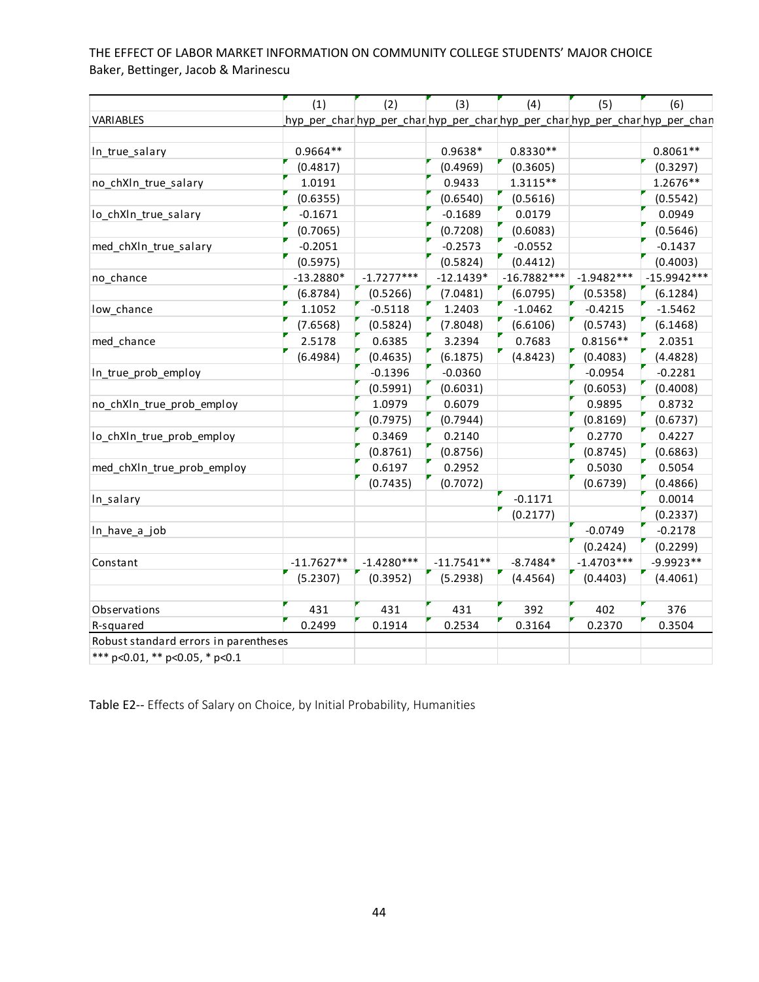|                                        | (1)          | (2)          | (3)          | (4)           | (5)          | (6)                                                                           |
|----------------------------------------|--------------|--------------|--------------|---------------|--------------|-------------------------------------------------------------------------------|
| <b>VARIABLES</b>                       |              |              |              |               |              | hyp_per_char_hyp_per_char_hyp_per_char_hyp_per_char_hyp_per_char_hyp_per_chan |
|                                        |              |              |              |               |              |                                                                               |
| In_true_salary                         | 0.9664**     |              | 0.9638*      | $0.8330**$    |              | $0.8061**$                                                                    |
|                                        | (0.4817)     |              | (0.4969)     | (0.3605)      |              | (0.3297)                                                                      |
| no_chXln_true_salary                   | 1.0191       |              | 0.9433       | 1.3115**      |              | 1.2676**                                                                      |
|                                        | (0.6355)     |              | (0.6540)     | (0.5616)      |              | (0.5542)                                                                      |
| lo_chXln_true_salary                   | $-0.1671$    |              | $-0.1689$    | 0.0179        |              | 0.0949                                                                        |
|                                        | (0.7065)     |              | (0.7208)     | (0.6083)      |              | (0.5646)                                                                      |
| med chXIn true salary                  | $-0.2051$    |              | $-0.2573$    | $-0.0552$     |              | $-0.1437$                                                                     |
|                                        | (0.5975)     |              | (0.5824)     | (0.4412)      |              | (0.4003)                                                                      |
| no_chance                              | $-13.2880*$  | $-1.7277***$ | $-12.1439*$  | $-16.7882***$ | $-1.9482***$ | $-15.9942***$                                                                 |
|                                        | (6.8784)     | (0.5266)     | (7.0481)     | (6.0795)      | (0.5358)     | (6.1284)                                                                      |
| low_chance                             | 1.1052       | $-0.5118$    | 1.2403       | $-1.0462$     | $-0.4215$    | $-1.5462$                                                                     |
|                                        | (7.6568)     | (0.5824)     | (7.8048)     | (6.6106)      | (0.5743)     | (6.1468)                                                                      |
| med_chance                             | 2.5178       | 0.6385       | 3.2394       | 0.7683        | $0.8156**$   | 2.0351                                                                        |
|                                        | (6.4984)     | (0.4635)     | (6.1875)     | (4.8423)      | (0.4083)     | (4.4828)                                                                      |
| In_true_prob_employ                    |              | $-0.1396$    | $-0.0360$    |               | $-0.0954$    | $-0.2281$                                                                     |
|                                        |              | (0.5991)     | (0.6031)     |               | (0.6053)     | (0.4008)                                                                      |
| no_chXIn_true_prob_employ              |              | 1.0979       | 0.6079       |               | 0.9895       | 0.8732                                                                        |
|                                        |              | (0.7975)     | (0.7944)     |               | (0.8169)     | (0.6737)                                                                      |
| lo_chXln_true_prob_employ              |              | 0.3469       | 0.2140       |               | 0.2770       | 0.4227                                                                        |
|                                        |              | (0.8761)     | (0.8756)     |               | (0.8745)     | (0.6863)                                                                      |
| med_chXIn_true_prob_employ             |              | 0.6197       | 0.2952       |               | 0.5030       | 0.5054                                                                        |
|                                        |              | (0.7435)     | (0.7072)     |               | (0.6739)     | (0.4866)                                                                      |
| In_salary                              |              |              |              | $-0.1171$     |              | 0.0014                                                                        |
|                                        |              |              |              | (0.2177)      |              | (0.2337)                                                                      |
| In_have_a_job                          |              |              |              |               | $-0.0749$    | $-0.2178$                                                                     |
|                                        |              |              |              |               | (0.2424)     | (0.2299)                                                                      |
| Constant                               | $-11.7627**$ | $-1.4280***$ | $-11.7541**$ | $-8.7484*$    | $-1.4703***$ | $-9.9923**$                                                                   |
|                                        | (5.2307)     | (0.3952)     | (5.2938)     | (4.4564)      | (0.4403)     | (4.4061)                                                                      |
|                                        |              |              |              |               |              |                                                                               |
| Observations                           | 431          | 431          | 431          | 392           | 402          | 376                                                                           |
| R-squared                              | 0.2499       | 0.1914       | 0.2534       | 0.3164        | 0.2370       | 0.3504                                                                        |
| Robust standard errors in parentheses  |              |              |              |               |              |                                                                               |
| *** $p<0.01$ , ** $p<0.05$ , * $p<0.1$ |              |              |              |               |              |                                                                               |

Table E2-- Effects of Salary on Choice, by Initial Probability, Humanities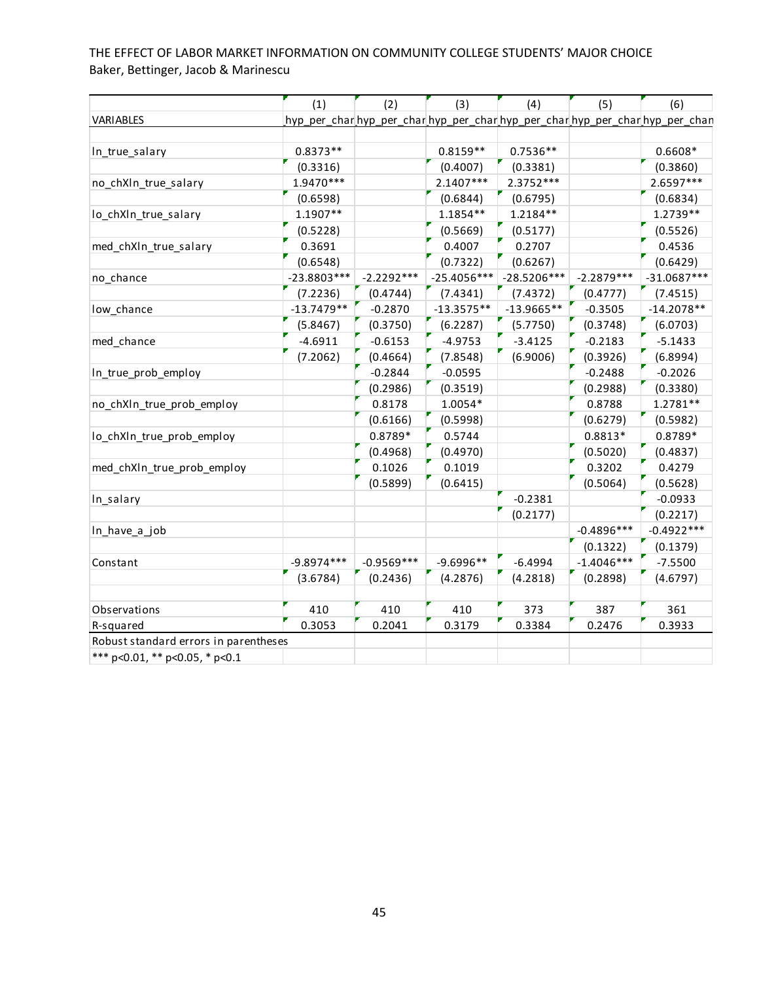|                                       | (1)           | (2)          | (3)                                                                           | (4)           | (5)          | (6)           |
|---------------------------------------|---------------|--------------|-------------------------------------------------------------------------------|---------------|--------------|---------------|
| <b>VARIABLES</b>                      |               |              | hyp_per_char_hyp_per_char_hyp_per_char_hyp_per_char_hyp_per_char_hyp_per_chan |               |              |               |
|                                       |               |              |                                                                               |               |              |               |
| In_true_salary                        | $0.8373**$    |              | $0.8159**$                                                                    | $0.7536**$    |              | $0.6608*$     |
|                                       | (0.3316)      |              | (0.4007)                                                                      | (0.3381)      |              | (0.3860)      |
| no_chXln_true_salary                  | 1.9470***     |              | 2.1407***                                                                     | 2.3752 ***    |              | 2.6597***     |
|                                       | (0.6598)      |              | (0.6844)                                                                      | (0.6795)      |              | (0.6834)      |
| lo_chXln_true_salary                  | 1.1907**      |              | $1.1854**$                                                                    | 1.2184**      |              | 1.2739**      |
|                                       | (0.5228)      |              | (0.5669)                                                                      | (0.5177)      |              | (0.5526)      |
| med_chXln_true_salary                 | 0.3691        |              | 0.4007                                                                        | 0.2707        |              | 0.4536        |
|                                       | (0.6548)      |              | (0.7322)                                                                      | (0.6267)      |              | (0.6429)      |
| no_chance                             | $-23.8803***$ | $-2.2292***$ | $-25.4056***$                                                                 | $-28.5206***$ | $-2.2879***$ | $-31.0687***$ |
|                                       | (7.2236)      | (0.4744)     | (7.4341)                                                                      | (7.4372)      | (0.4777)     | (7.4515)      |
| low_chance                            | $-13.7479**$  | $-0.2870$    | $-13.3575**$                                                                  | $-13.9665**$  | $-0.3505$    | $-14.2078**$  |
|                                       | (5.8467)      | (0.3750)     | (6.2287)                                                                      | (5.7750)      | (0.3748)     | (6.0703)      |
| med_chance                            | $-4.6911$     | $-0.6153$    | $-4.9753$                                                                     | $-3.4125$     | $-0.2183$    | $-5.1433$     |
|                                       | (7.2062)      | (0.4664)     | (7.8548)                                                                      | (6.9006)      | (0.3926)     | (6.8994)      |
| In_true_prob_employ                   |               | $-0.2844$    | $-0.0595$                                                                     |               | $-0.2488$    | $-0.2026$     |
|                                       |               | (0.2986)     | (0.3519)                                                                      |               | (0.2988)     | (0.3380)      |
| no_chXIn_true_prob_employ             |               | 0.8178       | 1.0054*                                                                       |               | 0.8788       | 1.2781**      |
|                                       |               | (0.6166)     | (0.5998)                                                                      |               | (0.6279)     | (0.5982)      |
| lo_chXln_true_prob_employ             |               | 0.8789*      | 0.5744                                                                        |               | $0.8813*$    | 0.8789*       |
|                                       |               | (0.4968)     | (0.4970)                                                                      |               | (0.5020)     | (0.4837)      |
| med_chXIn_true_prob_employ            |               | 0.1026       | 0.1019                                                                        |               | 0.3202       | 0.4279        |
|                                       |               | (0.5899)     | (0.6415)                                                                      |               | (0.5064)     | (0.5628)      |
| In_salary                             |               |              |                                                                               | $-0.2381$     |              | $-0.0933$     |
|                                       |               |              |                                                                               | (0.2177)      |              | (0.2217)      |
| In_have_a_job                         |               |              |                                                                               |               | $-0.4896***$ | $-0.4922***$  |
|                                       |               |              |                                                                               |               | (0.1322)     | (0.1379)      |
| Constant                              | $-9.8974***$  | $-0.9569***$ | $-9.6996**$                                                                   | $-6.4994$     | $-1.4046***$ | $-7.5500$     |
|                                       | (3.6784)      | (0.2436)     | (4.2876)                                                                      | (4.2818)      | (0.2898)     | (4.6797)      |
|                                       |               |              |                                                                               |               |              |               |
| Observations                          | 410           | 410          | 410                                                                           | 373           | 387          | 361           |
| R-squared                             | 0.3053        | 0.2041       | 0.3179                                                                        | 0.3384        | 0.2476       | 0.3933        |
| Robust standard errors in parentheses |               |              |                                                                               |               |              |               |
| *** p<0.01, ** p<0.05, * p<0.1        |               |              |                                                                               |               |              |               |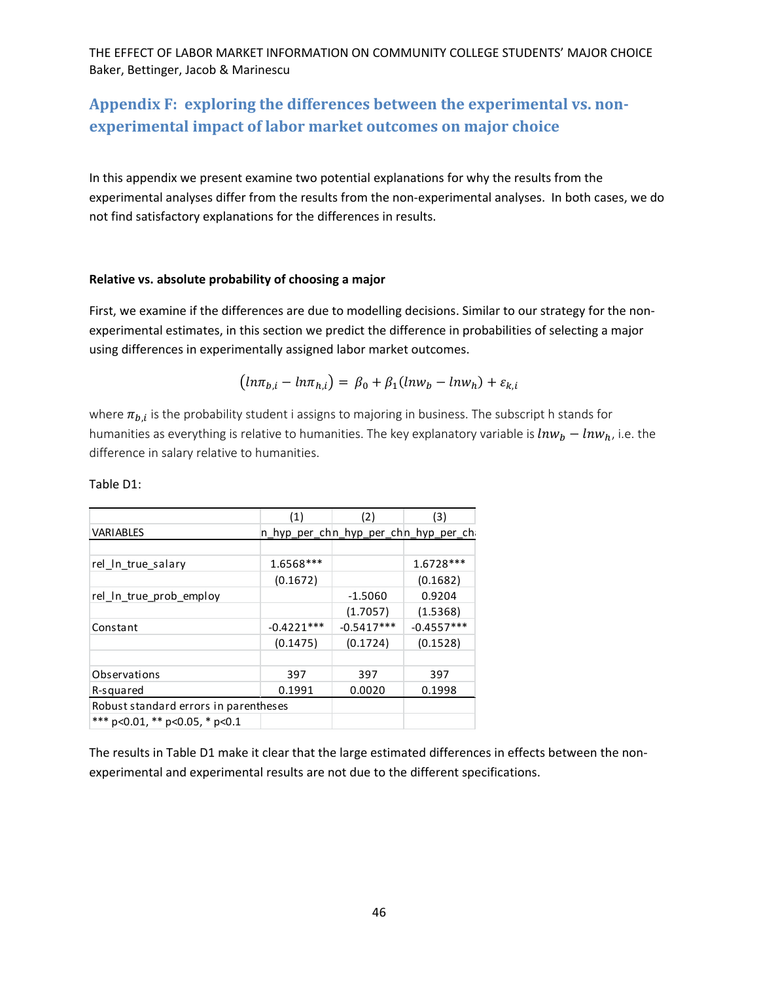# **Appendix F: exploring the differences between the experimental vs. non‐ experimental impact of labor market outcomes on major choice**

In this appendix we present examine two potential explanations for why the results from the experimental analyses differ from the results from the non-experimental analyses. In both cases, we do not find satisfactory explanations for the differences in results.

#### **Relative vs. absolute probability of choosing a major**

First, we examine if the differences are due to modelling decisions. Similar to our strategy for the nonexperimental estimates, in this section we predict the difference in probabilities of selecting a major using differences in experimentally assigned labor market outcomes.

$$
(ln\pi_{b,i} - ln\pi_{h,i}) = \beta_0 + \beta_1(lnw_b - lnw_h) + \varepsilon_{k,i}
$$

where  $\pi_{b,i}$  is the probability student i assigns to majoring in business. The subscript h stands for humanities as everything is relative to humanities. The key explanatory variable is  $ln w_b - ln w_h$ , i.e. the difference in salary relative to humanities.

|                                        | (1)          | (2)          | (3)                                    |
|----------------------------------------|--------------|--------------|----------------------------------------|
| <b>VARIABLES</b>                       |              |              | n_hyp_per_ch n_hyp_per_ch n_hyp_per_ch |
|                                        |              |              |                                        |
| rel_In_true_salary                     | 1.6568***    |              | 1.6728***                              |
|                                        | (0.1672)     |              | (0.1682)                               |
| rel_In_true_prob_employ                |              | $-1.5060$    | 0.9204                                 |
|                                        |              | (1.7057)     | (1.5368)                               |
| Constant                               | $-0.4221***$ | $-0.5417***$ | $-0.4557***$                           |
|                                        | (0.1475)     | (0.1724)     | (0.1528)                               |
|                                        |              |              |                                        |
| Observations                           | 397          | 397          | 397                                    |
| R-squared                              | 0.1991       | 0.0020       | 0.1998                                 |
| Robust standard errors in parentheses  |              |              |                                        |
| *** $p<0.01$ , ** $p<0.05$ , * $p<0.1$ |              |              |                                        |

Table D1:

The results in Table D1 make it clear that the large estimated differences in effects between the non‐ experimental and experimental results are not due to the different specifications.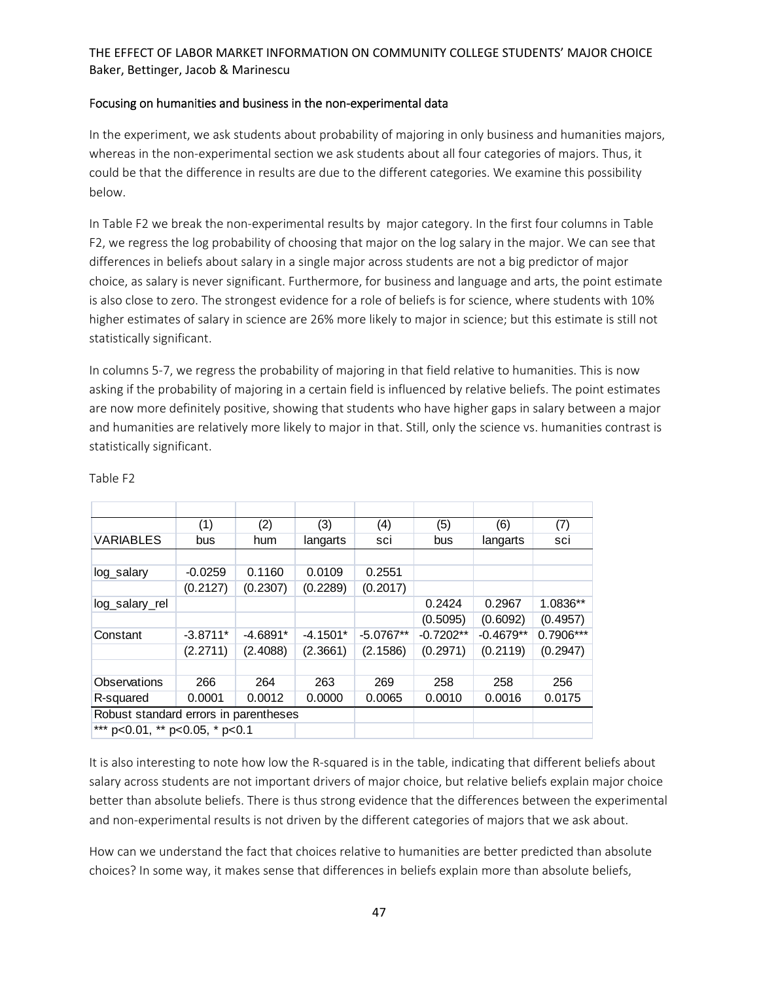#### Focusing on humanities and business in the non‐experimental data

In the experiment, we ask students about probability of majoring in only business and humanities majors, whereas in the non-experimental section we ask students about all four categories of majors. Thus, it could be that the difference in results are due to the different categories. We examine this possibility below.

In Table F2 we break the non‐experimental results by major category. In the first four columns in Table F2, we regress the log probability of choosing that major on the log salary in the major. We can see that differences in beliefs about salary in a single major across students are not a big predictor of major choice, as salary is never significant. Furthermore, for business and language and arts, the point estimate is also close to zero. The strongest evidence for a role of beliefs is for science, where students with 10% higher estimates of salary in science are 26% more likely to major in science; but this estimate is still not statistically significant.

In columns 5‐7, we regress the probability of majoring in that field relative to humanities. This is now asking if the probability of majoring in a certain field is influenced by relative beliefs. The point estimates are now more definitely positive, showing that students who have higher gaps in salary between a major and humanities are relatively more likely to major in that. Still, only the science vs. humanities contrast is statistically significant.

|                                       | (1)        | (2)        | (3)        | (4)         | (5)         | (6)         | (7)       |
|---------------------------------------|------------|------------|------------|-------------|-------------|-------------|-----------|
| <b>VARIABLES</b>                      | bus        | hum        | langarts   | sci         | bus         | langarts    | sci       |
|                                       |            |            |            |             |             |             |           |
| log_salary                            | $-0.0259$  | 0.1160     | 0.0109     | 0.2551      |             |             |           |
|                                       | (0.2127)   | (0.2307)   | (0.2289)   | (0.2017)    |             |             |           |
| log_salary_rel                        |            |            |            |             | 0.2424      | 0.2967      | 1.0836**  |
|                                       |            |            |            |             | (0.5095)    | (0.6092)    | (0.4957)  |
| Constant                              | $-3.8711*$ | $-4.6891*$ | $-4.1501*$ | $-5.0767**$ | $-0.7202**$ | $-0.4679**$ | 0.7906*** |
|                                       | (2.2711)   | (2.4088)   | (2.3661)   | (2.1586)    | (0.2971)    | (0.2119)    | (0.2947)  |
|                                       |            |            |            |             |             |             |           |
| Observations                          | 266        | 264        | 263        | 269         | 258         | 258         | 256       |
| R-squared                             | 0.0001     | 0.0012     | 0.0000     | 0.0065      | 0.0010      | 0.0016      | 0.0175    |
| Robust standard errors in parentheses |            |            |            |             |             |             |           |
| *** p<0.01, ** p<0.05, * p<0.1        |            |            |            |             |             |             |           |

Table F2

It is also interesting to note how low the R-squared is in the table, indicating that different beliefs about salary across students are not important drivers of major choice, but relative beliefs explain major choice better than absolute beliefs. There is thus strong evidence that the differences between the experimental and non-experimental results is not driven by the different categories of majors that we ask about.

How can we understand the fact that choices relative to humanities are better predicted than absolute choices? In some way, it makes sense that differences in beliefs explain more than absolute beliefs,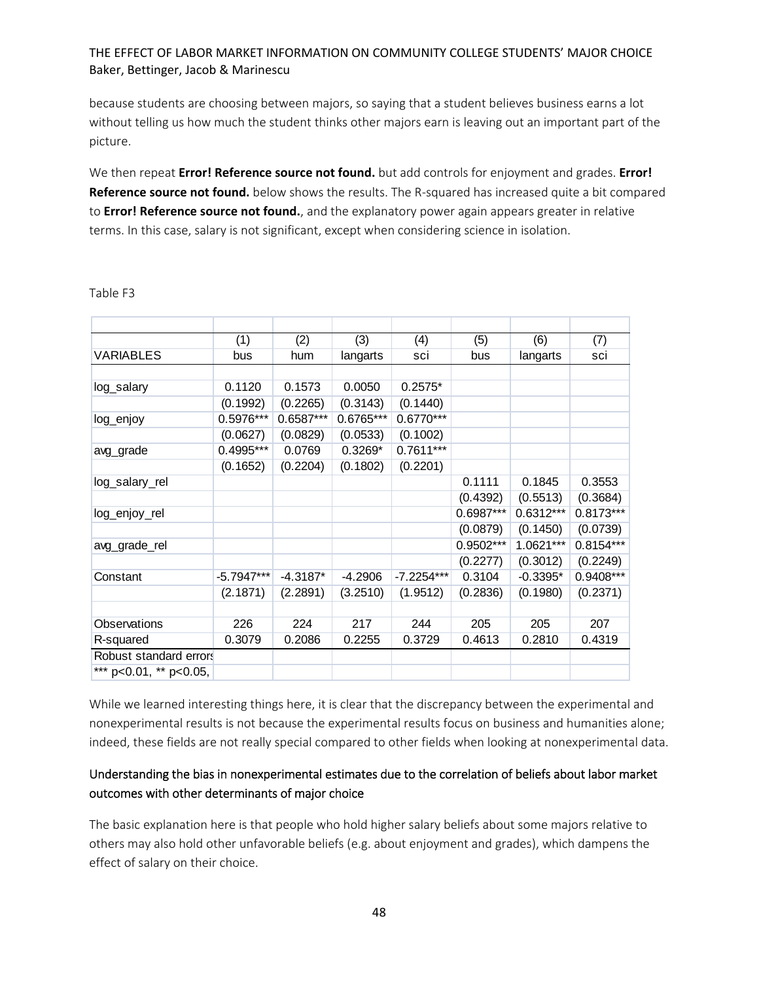because students are choosing between majors, so saying that a student believes business earns a lot without telling us how much the student thinks other majors earn is leaving out an important part of the picture.

We then repeat **Error! Reference source not found.** but add controls for enjoyment and grades. **Error! Reference source not found.** below shows the results. The R‐squared has increased quite a bit compared to **Error! Reference source not found.**, and the explanatory power again appears greater in relative terms. In this case, salary is not significant, except when considering science in isolation.

|                              | (1)          | (2)        | (3)       | (4)          | (5)       | (6)         | (7)         |
|------------------------------|--------------|------------|-----------|--------------|-----------|-------------|-------------|
| <b>VARIABLES</b>             | bus          | hum        | langarts  | sci          | bus       | langarts    | sci         |
|                              |              |            |           |              |           |             |             |
| log_salary                   | 0.1120       | 0.1573     | 0.0050    | $0.2575*$    |           |             |             |
|                              | (0.1992)     | (0.2265)   | (0.3143)  | (0.1440)     |           |             |             |
| log_enjoy                    | 0.5976***    | 0.6587***  | 0.6765*** | $0.6770***$  |           |             |             |
|                              | (0.0627)     | (0.0829)   | (0.0533)  | (0.1002)     |           |             |             |
| avg_grade                    | 0.4995***    | 0.0769     | $0.3269*$ | $0.7611***$  |           |             |             |
|                              | (0.1652)     | (0.2204)   | (0.1802)  | (0.2201)     |           |             |             |
| log_salary_rel               |              |            |           |              | 0.1111    | 0.1845      | 0.3553      |
|                              |              |            |           |              | (0.4392)  | (0.5513)    | (0.3684)    |
| log_enjoy_rel                |              |            |           |              | 0.6987*** | $0.6312***$ | $0.8173***$ |
|                              |              |            |           |              | (0.0879)  | (0.1450)    | (0.0739)    |
| avg_grade_rel                |              |            |           |              | 0.9502*** | 1.0621***   | $0.8154***$ |
|                              |              |            |           |              | (0.2277)  | (0.3012)    | (0.2249)    |
| Constant                     | $-5.7947***$ | $-4.3187*$ | $-4.2906$ | $-7.2254***$ | 0.3104    | $-0.3395*$  | 0.9408***   |
|                              | (2.1871)     | (2.2891)   | (3.2510)  | (1.9512)     | (0.2836)  | (0.1980)    | (0.2371)    |
|                              |              |            |           |              |           |             |             |
| Observations                 | 226          | 224        | 217       | 244          | 205       | 205         | 207         |
| R-squared                    | 0.3079       | 0.2086     | 0.2255    | 0.3729       | 0.4613    | 0.2810      | 0.4319      |
| Robust standard errors       |              |            |           |              |           |             |             |
| *** $p<0.01$ , ** $p<0.05$ , |              |            |           |              |           |             |             |

Table F3

While we learned interesting things here, it is clear that the discrepancy between the experimental and nonexperimental results is not because the experimental results focus on business and humanities alone; indeed, these fields are not really special compared to other fields when looking at nonexperimental data.

# Understanding the bias in nonexperimental estimates due to the correlation of beliefs about labor market outcomes with other determinants of major choice

The basic explanation here is that people who hold higher salary beliefs about some majors relative to others may also hold other unfavorable beliefs (e.g. about enjoyment and grades), which dampens the effect of salary on their choice.